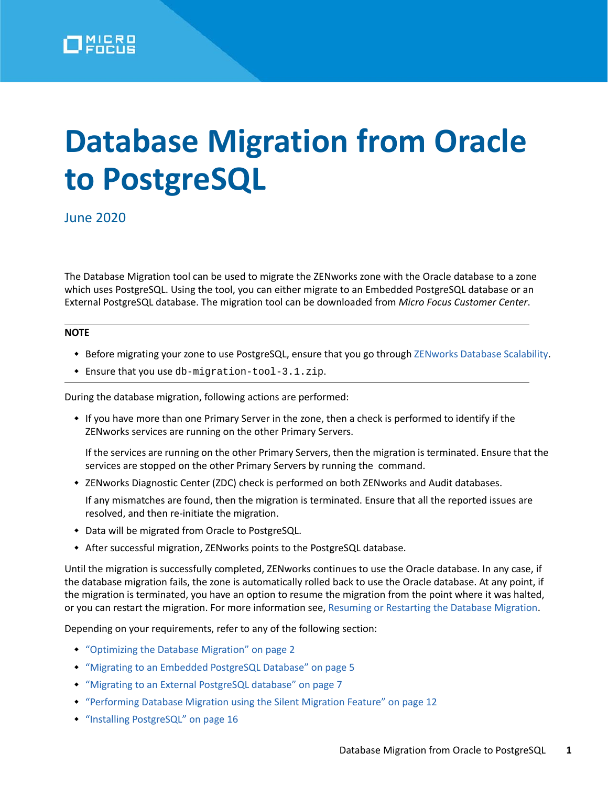

# **Database Migration from Oracle to PostgreSQL**

June 2020

The Database Migration tool can be used to migrate the ZENworks zone with the Oracle database to a zone which uses PostgreSQL. Using the tool, you can either migrate to an Embedded PostgreSQL database or an External PostgreSQL database. The migration tool can be downloaded from *Micro Focus Customer Center*.

#### **NOTE**

- Before migrating your zone to use PostgreSQL, ensure that you go through [ZENworks Database Scalability](https://www.novell.com/documentation/zenworks-2020/zen_cm_deployment_bp/data/b1ablwps.html).
- Ensure that you use db-migration-tool-3.1.zip.

During the database migration, following actions are performed:

 If you have more than one Primary Server in the zone, then a check is performed to identify if the ZENworks services are running on the other Primary Servers.

If the services are running on the other Primary Servers, then the migration is terminated. Ensure that the services are stopped on the other Primary Servers by running the command.

• ZENworks Diagnostic Center (ZDC) check is performed on both ZENworks and Audit databases.

If any mismatches are found, then the migration is terminated. Ensure that all the reported issues are resolved, and then re-initiate the migration.

- Data will be migrated from Oracle to PostgreSQL.
- After successful migration, ZENworks points to the PostgreSQL database.

Until the migration is successfully completed, ZENworks continues to use the Oracle database. In any case, if the database migration fails, the zone is automatically rolled back to use the Oracle database. At any point, if the migration is terminated, you have an option to resume the migration from the point where it was halted, or you can restart the migration. For more information see, [Resuming or Restarting the Database Migration.](#page-27-0)

Depending on your requirements, refer to any of the following section:

- ["Optimizing the Database Migration" on page 2](#page-1-0)
- ["Migrating to an Embedded PostgreSQL Database" on page 5](#page-4-0)
- ["Migrating to an External PostgreSQL database" on page 7](#page-6-0)
- ["Performing Database Migration using the Silent Migration Feature" on page 12](#page-11-0)
- ["Installing PostgreSQL" on page 16](#page-15-0)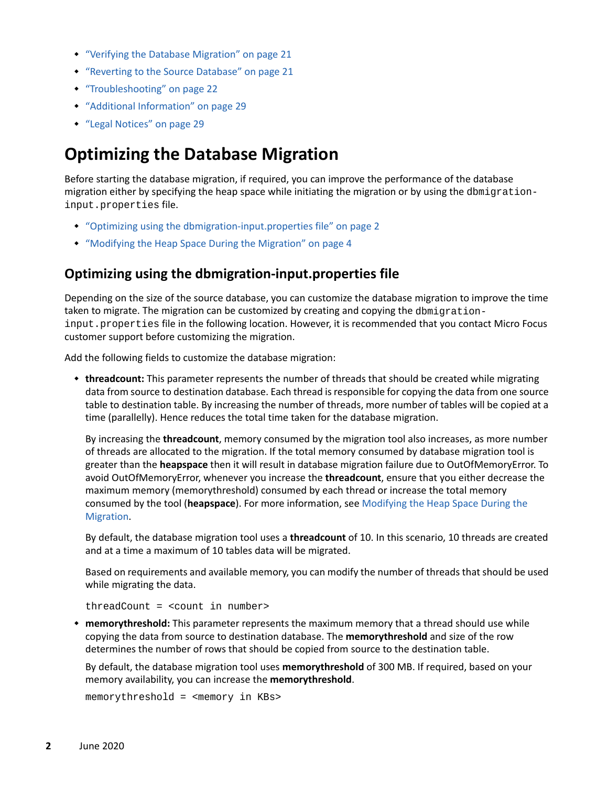- ["Verifying the Database Migration" on page 21](#page-20-0)
- ["Reverting to the Source Database" on page 21](#page-20-1)
- ["Troubleshooting" on page 22](#page-21-0)
- ["Additional Information" on page 29](#page-28-1)
- ["Legal Notices" on page 29](#page-28-0)

# <span id="page-1-0"></span>**Optimizing the Database Migration**

Before starting the database migration, if required, you can improve the performance of the database migration either by specifying the heap space while initiating the migration or by using the dbmigrationinput.properties file.

- ["Optimizing using the dbmigration-input.properties file" on page 2](#page-1-1)
- ["Modifying the Heap Space During the Migration" on page 4](#page-3-0)

### <span id="page-1-1"></span>**Optimizing using the dbmigration-input.properties file**

Depending on the size of the source database, you can customize the database migration to improve the time taken to migrate. The migration can be customized by creating and copying the dbmigrationinput.properties file in the following location. However, it is recommended that you contact Micro Focus customer support before customizing the migration.

Add the following fields to customize the database migration:

 **threadcount:** This parameter represents the number of threads that should be created while migrating data from source to destination database. Each thread is responsible for copying the data from one source table to destination table. By increasing the number of threads, more number of tables will be copied at a time (parallelly). Hence reduces the total time taken for the database migration.

By increasing the **threadcount**, memory consumed by the migration tool also increases, as more number of threads are allocated to the migration. If the total memory consumed by database migration tool is greater than the **heapspace** then it will result in database migration failure due to OutOfMemoryError. To avoid OutOfMemoryError, whenever you increase the **threadcount**, ensure that you either decrease the maximum memory (memorythreshold) consumed by each thread or increase the total memory consumed by the tool (**heapspace**). For more information, see [Modifying the Heap Space During the](#page-3-0)  [Migration.](#page-3-0)

By default, the database migration tool uses a **threadcount** of 10. In this scenario, 10 threads are created and at a time a maximum of 10 tables data will be migrated.

Based on requirements and available memory, you can modify the number of threads that should be used while migrating the data.

threadCount = <count in number>

 **memorythreshold:** This parameter represents the maximum memory that a thread should use while copying the data from source to destination database. The **memorythreshold** and size of the row determines the number of rows that should be copied from source to the destination table.

By default, the database migration tool uses **memorythreshold** of 300 MB. If required, based on your memory availability, you can increase the **memorythreshold**.

memorythreshold = <memory in KBs>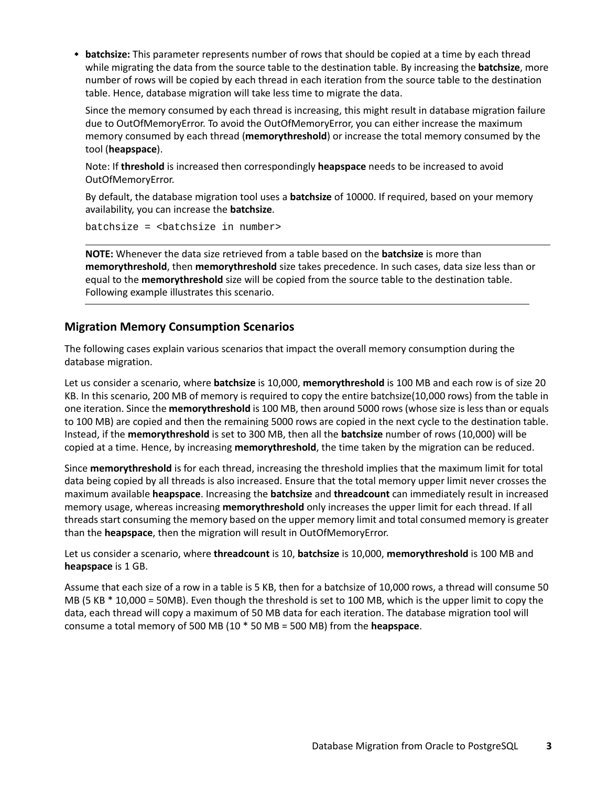**batchsize:** This parameter represents number of rows that should be copied at a time by each thread while migrating the data from the source table to the destination table. By increasing the **batchsize**, more number of rows will be copied by each thread in each iteration from the source table to the destination table. Hence, database migration will take less time to migrate the data.

Since the memory consumed by each thread is increasing, this might result in database migration failure due to OutOfMemoryError. To avoid the OutOfMemoryError, you can either increase the maximum memory consumed by each thread (**memorythreshold**) or increase the total memory consumed by the tool (**heapspace**).

Note: If **threshold** is increased then correspondingly **heapspace** needs to be increased to avoid OutOfMemoryError.

By default, the database migration tool uses a **batchsize** of 10000. If required, based on your memory availability, you can increase the **batchsize**.

batchsize = <batchsize in number>

**NOTE:** Whenever the data size retrieved from a table based on the **batchsize** is more than **memorythreshold**, then **memorythreshold** size takes precedence. In such cases, data size less than or equal to the **memorythreshold** size will be copied from the source table to the destination table. Following example illustrates this scenario.

### **Migration Memory Consumption Scenarios**

The following cases explain various scenarios that impact the overall memory consumption during the database migration.

Let us consider a scenario, where **batchsize** is 10,000, **memorythreshold** is 100 MB and each row is of size 20 KB. In this scenario, 200 MB of memory is required to copy the entire batchsize(10,000 rows) from the table in one iteration. Since the **memorythreshold** is 100 MB, then around 5000 rows (whose size is less than or equals to 100 MB) are copied and then the remaining 5000 rows are copied in the next cycle to the destination table. Instead, if the **memorythreshold** is set to 300 MB, then all the **batchsize** number of rows (10,000) will be copied at a time. Hence, by increasing **memorythreshold**, the time taken by the migration can be reduced.

Since **memorythreshold** is for each thread, increasing the threshold implies that the maximum limit for total data being copied by all threads is also increased. Ensure that the total memory upper limit never crosses the maximum available **heapspace**. Increasing the **batchsize** and **threadcount** can immediately result in increased memory usage, whereas increasing **memorythreshold** only increases the upper limit for each thread. If all threads start consuming the memory based on the upper memory limit and total consumed memory is greater than the **heapspace**, then the migration will result in OutOfMemoryError.

Let us consider a scenario, where **threadcount** is 10, **batchsize** is 10,000, **memorythreshold** is 100 MB and **heapspace** is 1 GB.

Assume that each size of a row in a table is 5 KB, then for a batchsize of 10,000 rows, a thread will consume 50 MB (5 KB \* 10,000 = 50MB). Even though the threshold is set to 100 MB, which is the upper limit to copy the data, each thread will copy a maximum of 50 MB data for each iteration. The database migration tool will consume a total memory of 500 MB (10 \* 50 MB = 500 MB) from the **heapspace**.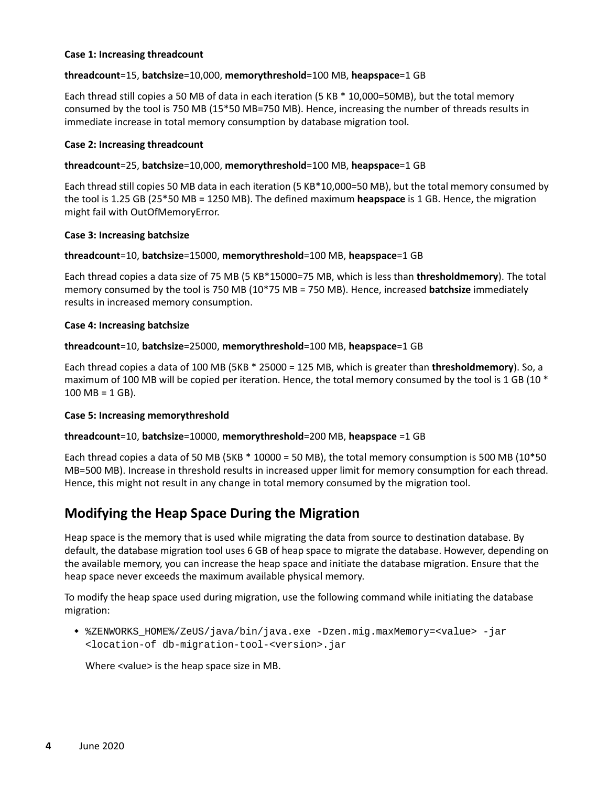#### **Case 1: Increasing threadcount**

#### **threadcount**=15, **batchsize**=10,000, **memorythreshold**=100 MB, **heapspace**=1 GB

Each thread still copies a 50 MB of data in each iteration (5 KB \* 10,000=50MB), but the total memory consumed by the tool is 750 MB (15\*50 MB=750 MB). Hence, increasing the number of threads results in immediate increase in total memory consumption by database migration tool.

#### **Case 2: Increasing threadcount**

#### **threadcount**=25, **batchsize**=10,000, **memorythreshold**=100 MB, **heapspace**=1 GB

Each thread still copies 50 MB data in each iteration (5 KB\*10,000=50 MB), but the total memory consumed by the tool is 1.25 GB (25\*50 MB = 1250 MB). The defined maximum **heapspace** is 1 GB. Hence, the migration might fail with OutOfMemoryError.

#### **Case 3: Increasing batchsize**

#### **threadcount**=10, **batchsize**=15000, **memorythreshold**=100 MB, **heapspace**=1 GB

Each thread copies a data size of 75 MB (5 KB\*15000=75 MB, which is less than **thresholdmemory**). The total memory consumed by the tool is 750 MB (10\*75 MB = 750 MB). Hence, increased **batchsize** immediately results in increased memory consumption.

#### **Case 4: Increasing batchsize**

#### **threadcount**=10, **batchsize**=25000, **memorythreshold**=100 MB, **heapspace**=1 GB

Each thread copies a data of 100 MB (5KB \* 25000 = 125 MB, which is greater than **thresholdmemory**). So, a maximum of 100 MB will be copied per iteration. Hence, the total memory consumed by the tool is 1 GB (10  $*$  $100 \text{ MB} = 1 \text{ GB}$ .

### **Case 5: Increasing memorythreshold**

### **threadcount**=10, **batchsize**=10000, **memorythreshold**=200 MB, **heapspace** =1 GB

Each thread copies a data of 50 MB (5KB \* 10000 = 50 MB), the total memory consumption is 500 MB (10\*50 MB=500 MB). Increase in threshold results in increased upper limit for memory consumption for each thread. Hence, this might not result in any change in total memory consumed by the migration tool.

### <span id="page-3-0"></span>**Modifying the Heap Space During the Migration**

Heap space is the memory that is used while migrating the data from source to destination database. By default, the database migration tool uses 6 GB of heap space to migrate the database. However, depending on the available memory, you can increase the heap space and initiate the database migration. Ensure that the heap space never exceeds the maximum available physical memory.

To modify the heap space used during migration, use the following command while initiating the database migration:

 %ZENWORKS\_HOME%/ZeUS/java/bin/java.exe -Dzen.mig.maxMemory=<value> -jar <location-of db-migration-tool-<version>.jar

Where <value> is the heap space size in MB.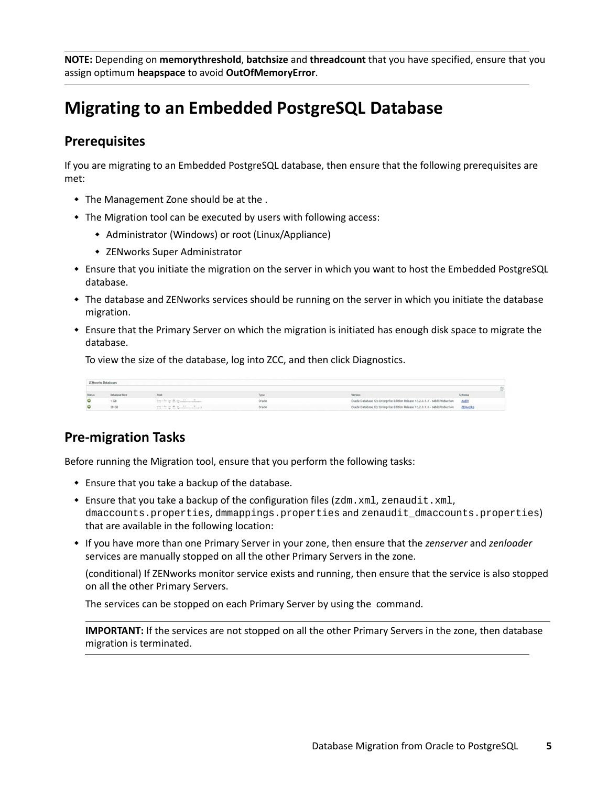**NOTE:** Depending on **memorythreshold**, **batchsize** and **threadcount** that you have specified, ensure that you assign optimum **heapspace** to avoid **OutOfMemoryError**.

# <span id="page-4-0"></span>**Migrating to an Embedded PostgreSQL Database**

### **Prerequisites**

If you are migrating to an Embedded PostgreSQL database, then ensure that the following prerequisites are met:

- The Management Zone should be at the.
- The Migration tool can be executed by users with following access:
	- Administrator (Windows) or root (Linux/Appliance)
	- ZENworks Super Administrator
- Ensure that you initiate the migration on the server in which you want to host the Embedded PostgreSQL database.
- The database and ZENworks services should be running on the server in which you initiate the database migration.
- Ensure that the Primary Server on which the migration is initiated has enough disk space to migrate the database.

To view the size of the database, log into ZCC, and then click Diagnostics.

| <b>TENuorics</b> Databases |                 |                                       |        |                                                                                       |               |  |
|----------------------------|-----------------|---------------------------------------|--------|---------------------------------------------------------------------------------------|---------------|--|
|                            |                 |                                       |        |                                                                                       |               |  |
| <b>Slatu</b>               |                 |                                       |        | Version                                                                               | <b>Schuld</b> |  |
|                            |                 | also the cap developments of the con- | Oracle | Oracle Database 12c Enterprise Edition Release 12.2.0.1.0 - 64bit Production Audit    |               |  |
|                            | 28 <sub>0</sub> | the first first teachers about        | Oracle | Oracle Database 12c Enterprise Edition Release 12.2.0.1.0 - 64blt Production ZEN-orks |               |  |

### **Pre-migration Tasks**

Before running the Migration tool, ensure that you perform the following tasks:

- Ensure that you take a backup of the database.
- Ensure that you take a backup of the configuration files (zdm.xml, zenaudit.xml, dmaccounts.properties, dmmappings.properties and zenaudit\_dmaccounts.properties) that are available in the following location:
- If you have more than one Primary Server in your zone, then ensure that the *zenserver* and *zenloader* services are manually stopped on all the other Primary Servers in the zone.

(conditional) If ZENworks monitor service exists and running, then ensure that the service is also stopped on all the other Primary Servers.

The services can be stopped on each Primary Server by using the command.

**IMPORTANT:** If the services are not stopped on all the other Primary Servers in the zone, then database migration is terminated.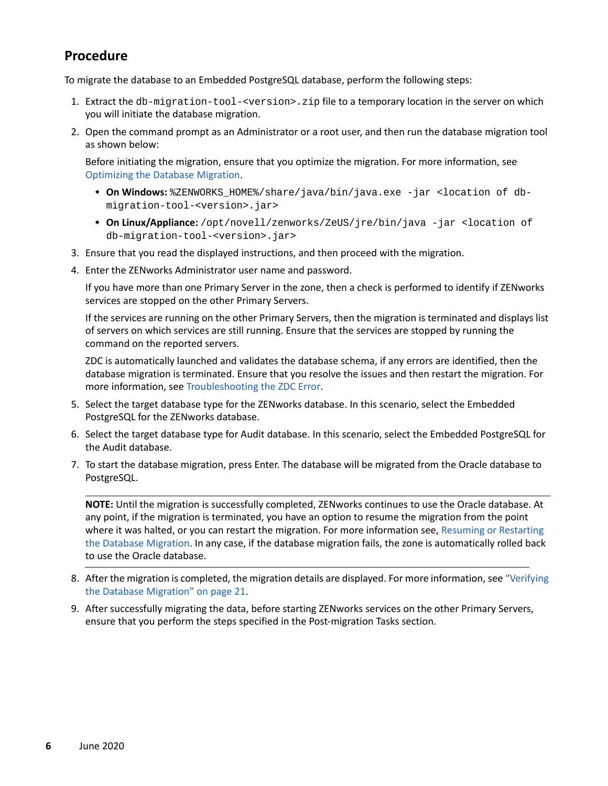### **Procedure**

To migrate the database to an Embedded PostgreSQL database, perform the following steps:

- 1. Extract the db-migration-tool-<version>.zip file to a temporary location in the server on which you will initiate the database migration.
- 2. Open the command prompt as an Administrator or a root user, and then run the database migration tool as shown below:

Before initiating the migration, ensure that you optimize the migration. For more information, see [Optimizing the Database Migration.](#page-1-0)

- **On Windows:** %ZENWORKS\_HOME%/share/java/bin/java.exe -jar <location of dbmigration-tool-<version>.jar>
- **On Linux/Appliance:** /opt/novell/zenworks/ZeUS/jre/bin/java -jar <location of db-migration-tool-<version>.jar>
- 3. Ensure that you read the displayed instructions, and then proceed with the migration.
- 4. Enter the ZENworks Administrator user name and password.

If you have more than one Primary Server in the zone, then a check is performed to identify if ZENworks services are stopped on the other Primary Servers.

If the services are running on the other Primary Servers, then the migration is terminated and displays list of servers on which services are still running. Ensure that the services are stopped by running the command on the reported servers.

ZDC is automatically launched and validates the database schema, if any errors are identified, then the database migration is terminated. Ensure that you resolve the issues and then restart the migration. For more information, see [Troubleshooting the ZDC Error.](#page-22-0)

- 5. Select the target database type for the ZENworks database. In this scenario, select the Embedded PostgreSQL for the ZENworks database.
- 6. Select the target database type for Audit database. In this scenario, select the Embedded PostgreSQL for the Audit database.
- 7. To start the database migration, press Enter. The database will be migrated from the Oracle database to PostgreSQL.

**NOTE:** Until the migration is successfully completed, ZENworks continues to use the Oracle database. At any point, if the migration is terminated, you have an option to resume the migration from the point where it was halted, or you can restart the migration. For more information see, [Resuming or Restarting](#page-27-0)  [the Database Migration](#page-27-0). In any case, if the database migration fails, the zone is automatically rolled back to use the Oracle database.

- 8. After the migration is completed, the migration details are displayed. For more information, see ["Verifying](#page-20-0)  [the Database Migration" on page 21](#page-20-0).
- 9. After successfully migrating the data, before starting ZENworks services on the other Primary Servers, ensure that you perform the steps specified in the Post-migration Tasks section.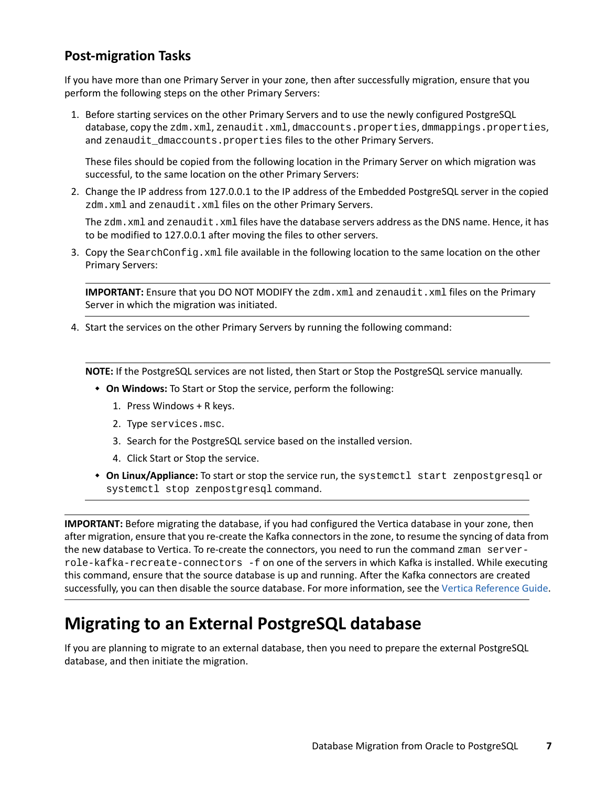### **Post-migration Tasks**

If you have more than one Primary Server in your zone, then after successfully migration, ensure that you perform the following steps on the other Primary Servers:

1. Before starting services on the other Primary Servers and to use the newly configured PostgreSQL database, copy the zdm.xml, zenaudit.xml, dmaccounts.properties, dmmappings.properties, and zenaudit\_dmaccounts.properties files to the other Primary Servers.

These files should be copied from the following location in the Primary Server on which migration was successful, to the same location on the other Primary Servers:

2. Change the IP address from 127.0.0.1 to the IP address of the Embedded PostgreSQL server in the copied zdm.xml and zenaudit.xml files on the other Primary Servers.

The zdm. xml and zenaudit. xml files have the database servers address as the DNS name. Hence, it has to be modified to 127.0.0.1 after moving the files to other servers.

3. Copy the SearchConfig.xml file available in the following location to the same location on the other Primary Servers:

**IMPORTANT:** Ensure that you DO NOT MODIFY the zdm.xml and zenaudit.xml files on the Primary Server in which the migration was initiated.

4. Start the services on the other Primary Servers by running the following command:

**NOTE:** If the PostgreSQL services are not listed, then Start or Stop the PostgreSQL service manually.

- **On Windows:** To Start or Stop the service, perform the following:
	- 1. Press Windows + R keys.
	- 2. Type services.msc.
	- 3. Search for the PostgreSQL service based on the installed version.
	- 4. Click Start or Stop the service.
- **On Linux/Appliance:** To start or stop the service run, the systemctl start zenpostgresql or systemctl stop zenpostgresql command.

**IMPORTANT:** Before migrating the database, if you had configured the Vertica database in your zone, then after migration, ensure that you re-create the Kafka connectors in the zone, to resume the syncing of data from the new database to Vertica. To re-create the connectors, you need to run the command zman serverrole-kafka-recreate-connectors -f on one of the servers in which Kafka is installed. While executing this command, ensure that the source database is up and running. After the Kafka connectors are created successfully, you can then disable the source database. For more information, see the [Vertica Reference Guide](https://www.novell.com/documentation/zenworks-2020-update-2/pdfdoc/zen_vertica/zen_vertica.pdf#readme).

# <span id="page-6-0"></span>**Migrating to an External PostgreSQL database**

If you are planning to migrate to an external database, then you need to prepare the external PostgreSQL database, and then initiate the migration.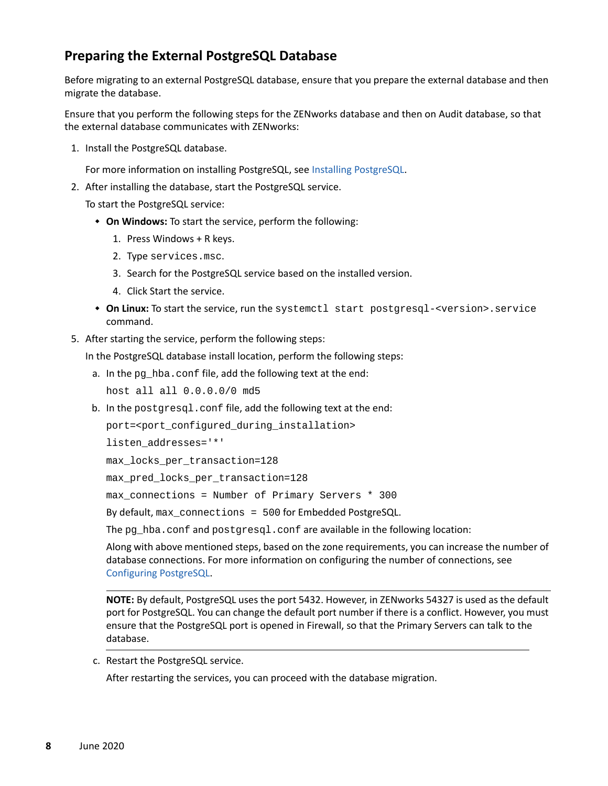### <span id="page-7-0"></span>**Preparing the External PostgreSQL Database**

Before migrating to an external PostgreSQL database, ensure that you prepare the external database and then migrate the database.

Ensure that you perform the following steps for the ZENworks database and then on Audit database, so that the external database communicates with ZENworks:

1. Install the PostgreSQL database.

For more information on installing PostgreSQL, see [Installing PostgreSQL](#page-15-0).

2. After installing the database, start the PostgreSQL service.

To start the PostgreSQL service:

- **On Windows:** To start the service, perform the following:
	- 1. Press Windows + R keys.
	- 2. Type services.msc.
	- 3. Search for the PostgreSQL service based on the installed version.
	- 4. Click Start the service.
- **On Linux:** To start the service, run the systemctl start postgresql-<version>.service command.
- 5. After starting the service, perform the following steps:

In the PostgreSQL database install location, perform the following steps:

a. In the pg\_hba.conf file, add the following text at the end:

host all all 0.0.0.0/0 md5

b. In the postgresql.conf file, add the following text at the end:

```
port=<port_configured_during_installation>
```
listen\_addresses='\*'

max\_locks\_per\_transaction=128

max\_pred\_locks\_per\_transaction=128

max\_connections = Number of Primary Servers \* 300

By default, max\_connections = 500 for Embedded PostgreSQL.

The pg\_hba.conf and postgresql.conf are available in the following location:

Along with above mentioned steps, based on the zone requirements, you can increase the number of database connections. For more information on configuring the number of connections, see [Configuring PostgreSQL](https://www.novell.com/documentation/zenworks-2020-update-2/pdfdoc/zen_sys_db_mgmt/zen_sys_db_mgmt.pdf#t41rl5gf8qdv1).

**NOTE:** By default, PostgreSQL uses the port 5432. However, in ZENworks 54327 is used as the default port for PostgreSQL. You can change the default port number if there is a conflict. However, you must ensure that the PostgreSQL port is opened in Firewall, so that the Primary Servers can talk to the database.

c. Restart the PostgreSQL service.

After restarting the services, you can proceed with the database migration.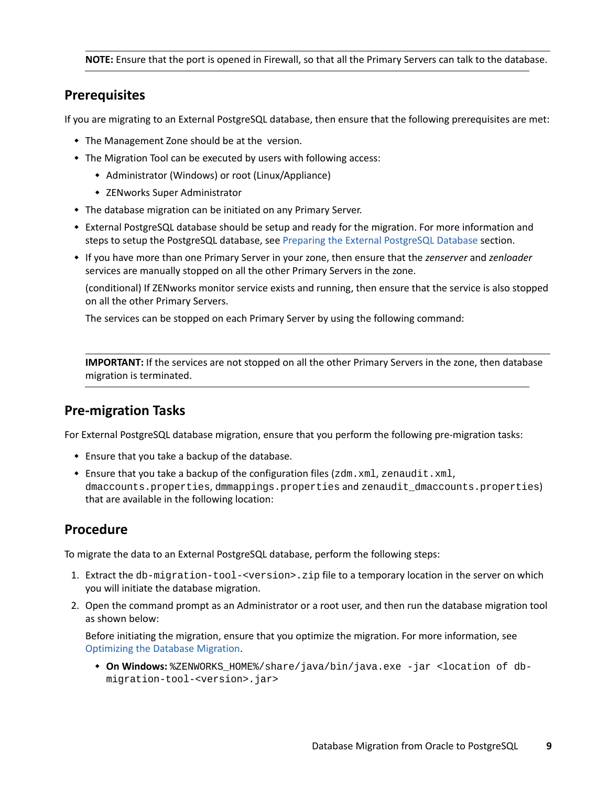### **NOTE:** Ensure that the port is opened in Firewall, so that all the Primary Servers can talk to the database.

### **Prerequisites**

If you are migrating to an External PostgreSQL database, then ensure that the following prerequisites are met:

- The Management Zone should be at the version.
- The Migration Tool can be executed by users with following access:
	- Administrator (Windows) or root (Linux/Appliance)
	- ZENworks Super Administrator
- The database migration can be initiated on any Primary Server.
- External PostgreSQL database should be setup and ready for the migration. For more information and steps to setup the PostgreSQL database, see [Preparing the External PostgreSQL Database](#page-7-0) section.
- If you have more than one Primary Server in your zone, then ensure that the *zenserver* and *zenloader* services are manually stopped on all the other Primary Servers in the zone.

(conditional) If ZENworks monitor service exists and running, then ensure that the service is also stopped on all the other Primary Servers.

The services can be stopped on each Primary Server by using the following command:

**IMPORTANT:** If the services are not stopped on all the other Primary Servers in the zone, then database migration is terminated.

### **Pre-migration Tasks**

For External PostgreSQL database migration, ensure that you perform the following pre-migration tasks:

- Ensure that you take a backup of the database.
- **Ensure that you take a backup of the configuration files (** $zdm$ **. xml,**  $z$ **enaudit. xml,** dmaccounts.properties, dmmappings.properties and zenaudit\_dmaccounts.properties) that are available in the following location:

### **Procedure**

To migrate the data to an External PostgreSQL database, perform the following steps:

- 1. Extract the db-migration-tool-<version>.zip file to a temporary location in the server on which you will initiate the database migration.
- 2. Open the command prompt as an Administrator or a root user, and then run the database migration tool as shown below:

Before initiating the migration, ensure that you optimize the migration. For more information, see [Optimizing the Database Migration.](#page-1-0)

 **On Windows:** %ZENWORKS\_HOME%/share/java/bin/java.exe -jar <location of dbmigration-tool-<version>.jar>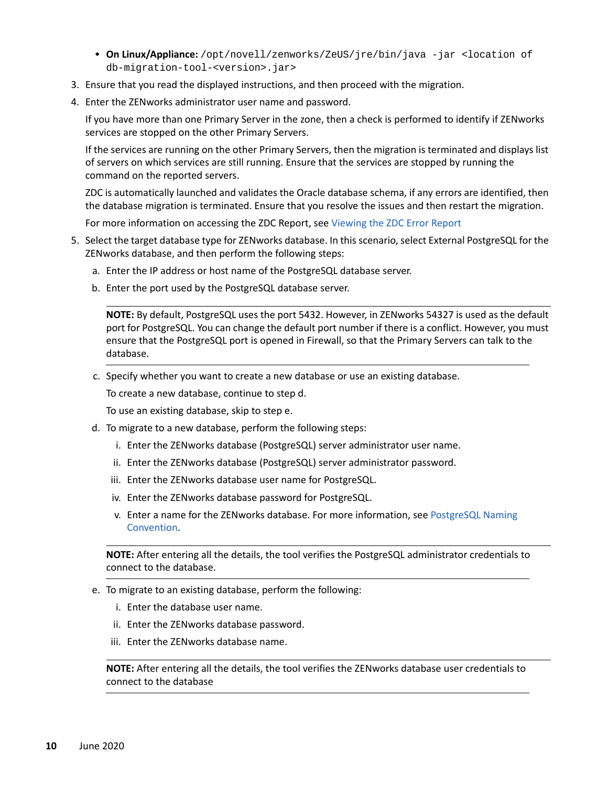- **On Linux/Appliance:** /opt/novell/zenworks/ZeUS/jre/bin/java -jar <location of db-migration-tool-<version>.jar>
- 3. Ensure that you read the displayed instructions, and then proceed with the migration.
- 4. Enter the ZENworks administrator user name and password.

If you have more than one Primary Server in the zone, then a check is performed to identify if ZENworks services are stopped on the other Primary Servers.

If the services are running on the other Primary Servers, then the migration is terminated and displays list of servers on which services are still running. Ensure that the services are stopped by running the command on the reported servers.

ZDC is automatically launched and validates the Oracle database schema, if any errors are identified, then the database migration is terminated. Ensure that you resolve the issues and then restart the migration.

For more information on accessing the ZDC Report, see [Viewing the ZDC Error Report](#page-21-1)

- 5. Select the target database type for ZENworks database. In this scenario, select External PostgreSQL for the ZENworks database, and then perform the following steps:
	- a. Enter the IP address or host name of the PostgreSQL database server.
	- b. Enter the port used by the PostgreSQL database server.

**NOTE:** By default, PostgreSQL uses the port 5432. However, in ZENworks 54327 is used as the default port for PostgreSQL. You can change the default port number if there is a conflict. However, you must ensure that the PostgreSQL port is opened in Firewall, so that the Primary Servers can talk to the database.

c. Specify whether you want to create a new database or use an existing database.

To create a new database, continue to step d.

To use an existing database, skip to step e.

- d. To migrate to a new database, perform the following steps:
	- i. Enter the ZENworks database (PostgreSQL) server administrator user name.
	- ii. Enter the ZENworks database (PostgreSQL) server administrator password.
	- iii. Enter the ZENworks database user name for PostgreSQL.
	- iv. Enter the ZENworks database password for PostgreSQL.
	- v. Enter a name for the ZENworks database. For more information, see [PostgreSQL Naming](#page-28-2)  [Convention.](#page-28-2)

**NOTE:** After entering all the details, the tool verifies the PostgreSQL administrator credentials to connect to the database.

- e. To migrate to an existing database, perform the following:
	- i. Enter the database user name.
	- ii. Enter the ZENworks database password.
	- iii. Enter the ZENworks database name.

**NOTE:** After entering all the details, the tool verifies the ZENworks database user credentials to connect to the database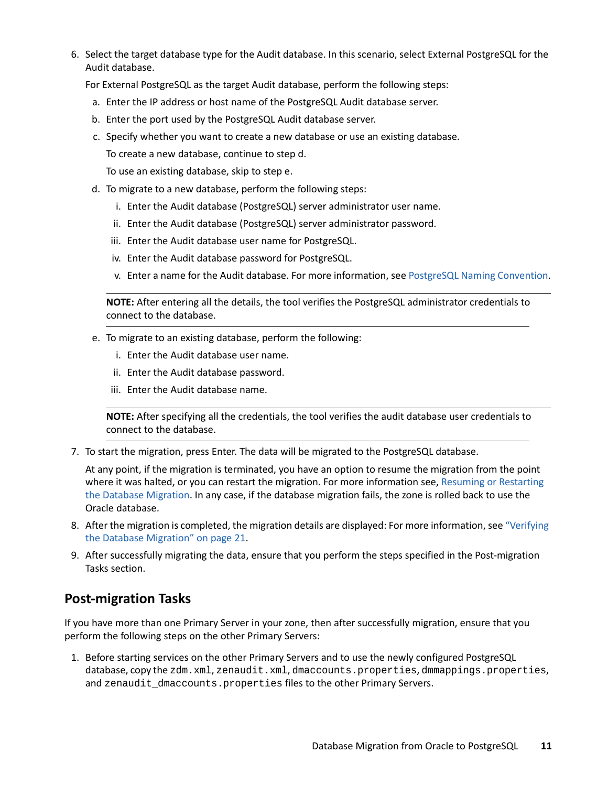6. Select the target database type for the Audit database. In this scenario, select External PostgreSQL for the Audit database.

For External PostgreSQL as the target Audit database, perform the following steps:

- a. Enter the IP address or host name of the PostgreSQL Audit database server.
- b. Enter the port used by the PostgreSQL Audit database server.
- c. Specify whether you want to create a new database or use an existing database.

To create a new database, continue to step d.

To use an existing database, skip to step e.

- d. To migrate to a new database, perform the following steps:
	- i. Enter the Audit database (PostgreSQL) server administrator user name.
	- ii. Enter the Audit database (PostgreSQL) server administrator password.
	- iii. Enter the Audit database user name for PostgreSQL.
	- iv. Enter the Audit database password for PostgreSQL.
	- v. Enter a name for the Audit database. For more information, see [PostgreSQL Naming Convention](#page-28-2).

**NOTE:** After entering all the details, the tool verifies the PostgreSQL administrator credentials to connect to the database.

- e. To migrate to an existing database, perform the following:
	- i. Enter the Audit database user name.
	- ii. Enter the Audit database password.
	- iii. Enter the Audit database name.

**NOTE:** After specifying all the credentials, the tool verifies the audit database user credentials to connect to the database.

7. To start the migration, press Enter. The data will be migrated to the PostgreSQL database.

At any point, if the migration is terminated, you have an option to resume the migration from the point where it was halted, or you can restart the migration. For more information see, [Resuming or Restarting](#page-27-0)  [the Database Migration](#page-27-0). In any case, if the database migration fails, the zone is rolled back to use the Oracle database.

- 8. After the migration is completed, the migration details are displayed: For more information, see ["Verifying](#page-20-0)  [the Database Migration" on page 21](#page-20-0).
- 9. After successfully migrating the data, ensure that you perform the steps specified in the Post-migration Tasks section.

### **Post-migration Tasks**

If you have more than one Primary Server in your zone, then after successfully migration, ensure that you perform the following steps on the other Primary Servers:

1. Before starting services on the other Primary Servers and to use the newly configured PostgreSQL database, copy the zdm.xml, zenaudit.xml, dmaccounts.properties, dmmappings.properties, and zenaudit\_dmaccounts.properties files to the other Primary Servers.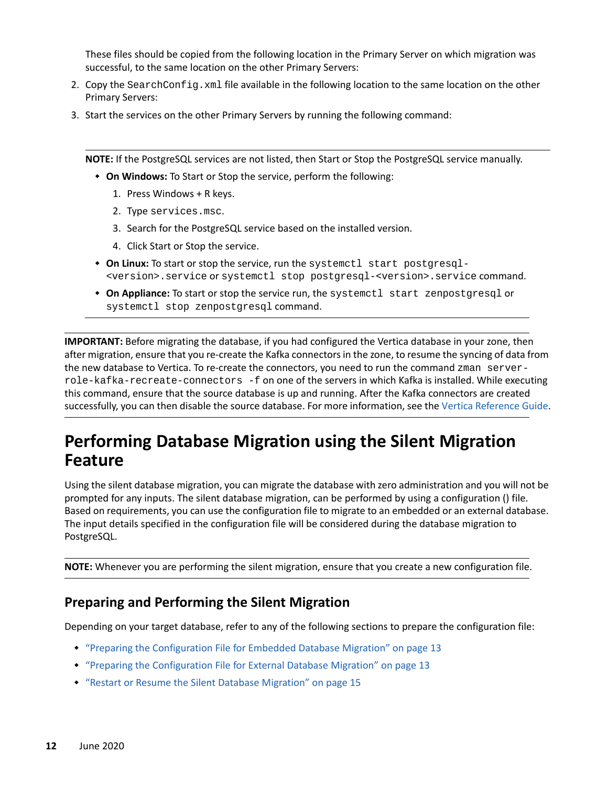These files should be copied from the following location in the Primary Server on which migration was successful, to the same location on the other Primary Servers:

- 2. Copy the SearchConfig.xml file available in the following location to the same location on the other Primary Servers:
- 3. Start the services on the other Primary Servers by running the following command:

**NOTE:** If the PostgreSQL services are not listed, then Start or Stop the PostgreSQL service manually.

- **On Windows:** To Start or Stop the service, perform the following:
	- 1. Press Windows + R keys.
	- 2. Type services.msc.
	- 3. Search for the PostgreSQL service based on the installed version.
	- 4. Click Start or Stop the service.
- **On Linux:** To start or stop the service, run the systemctl start postgresql- <version>.service or systemctl stop postgresql-<version>.service command.
- **On Appliance:** To start or stop the service run, the systemctl start zenpostgresql or systemctl stop zenpostgresql command.

**IMPORTANT:** Before migrating the database, if you had configured the Vertica database in your zone, then after migration, ensure that you re-create the Kafka connectors in the zone, to resume the syncing of data from the new database to Vertica. To re-create the connectors, you need to run the command zman serverrole-kafka-recreate-connectors -f on one of the servers in which Kafka is installed. While executing this command, ensure that the source database is up and running. After the Kafka connectors are created successfully, you can then disable the source database. For more information, see the [Vertica Reference Guide](https://www.novell.com/documentation/zenworks-2020-update-2/pdfdoc/zen_vertica/zen_vertica.pdf#readme).

# <span id="page-11-0"></span>**Performing Database Migration using the Silent Migration Feature**

Using the silent database migration, you can migrate the database with zero administration and you will not be prompted for any inputs. The silent database migration, can be performed by using a configuration () file. Based on requirements, you can use the configuration file to migrate to an embedded or an external database. The input details specified in the configuration file will be considered during the database migration to PostgreSQL.

**NOTE:** Whenever you are performing the silent migration, ensure that you create a new configuration file.

### **Preparing and Performing the Silent Migration**

Depending on your target database, refer to any of the following sections to prepare the configuration file:

- ["Preparing the Configuration File for Embedded Database Migration" on page 13](#page-12-0)
- ["Preparing the Configuration File for External Database Migration" on page 13](#page-12-1)
- ["Restart or Resume the Silent Database Migration" on page 15](#page-14-0)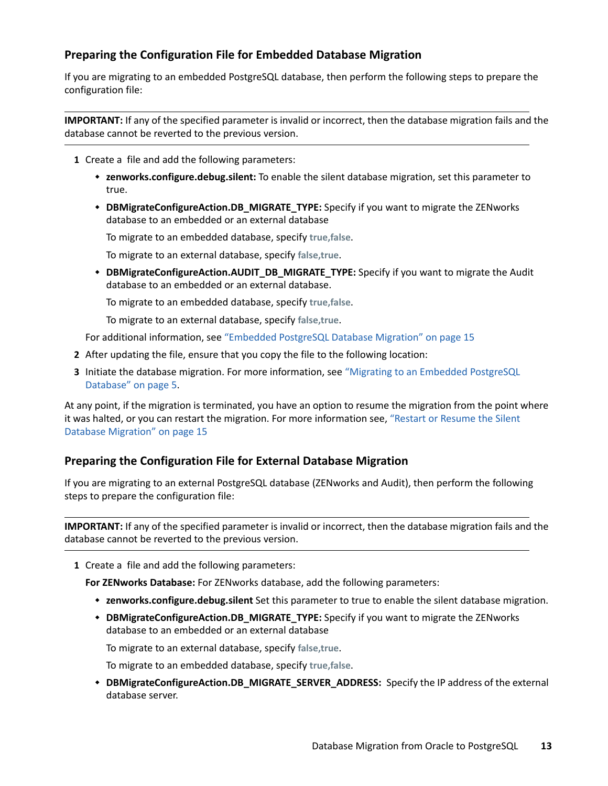### <span id="page-12-0"></span>**Preparing the Configuration File for Embedded Database Migration**

If you are migrating to an embedded PostgreSQL database, then perform the following steps to prepare the configuration file:

**IMPORTANT:** If any of the specified parameter is invalid or incorrect, then the database migration fails and the database cannot be reverted to the previous version.

- **1** Create a file and add the following parameters:
	- **zenworks.configure.debug.silent:** To enable the silent database migration, set this parameter to true.
	- **DBMigrateConfigureAction.DB\_MIGRATE\_TYPE:** Specify if you want to migrate the ZENworks database to an embedded or an external database

To migrate to an embedded database, specify **true,false**.

To migrate to an external database, specify **false,true**.

 **DBMigrateConfigureAction.AUDIT\_DB\_MIGRATE\_TYPE:** Specify if you want to migrate the Audit database to an embedded or an external database.

To migrate to an embedded database, specify **true,false**.

To migrate to an external database, specify **false,true**.

For additional information, see ["Embedded PostgreSQL Database Migration" on page 15](#page-14-1)

- **2** After updating the file, ensure that you copy the file to the following location:
- **3** Initiate the database migration. For more information, see ["Migrating to an Embedded PostgreSQL](#page-4-0)  [Database" on page 5](#page-4-0).

At any point, if the migration is terminated, you have an option to resume the migration from the point where it was halted, or you can restart the migration. For more information see, ["Restart or Resume the Silent](#page-14-0)  [Database Migration" on page 15](#page-14-0)

### <span id="page-12-1"></span>**Preparing the Configuration File for External Database Migration**

If you are migrating to an external PostgreSQL database (ZENworks and Audit), then perform the following steps to prepare the configuration file:

**IMPORTANT:** If any of the specified parameter is invalid or incorrect, then the database migration fails and the database cannot be reverted to the previous version.

**1** Create a file and add the following parameters:

**For ZENworks Database:** For ZENworks database, add the following parameters:

- **zenworks.configure.debug.silent** Set this parameter to true to enable the silent database migration.
- **DBMigrateConfigureAction.DB\_MIGRATE\_TYPE:** Specify if you want to migrate the ZENworks database to an embedded or an external database

To migrate to an external database, specify **false,true**.

To migrate to an embedded database, specify **true,false**.

 **DBMigrateConfigureAction.DB\_MIGRATE\_SERVER\_ADDRESS:** Specify the IP address of the external database server.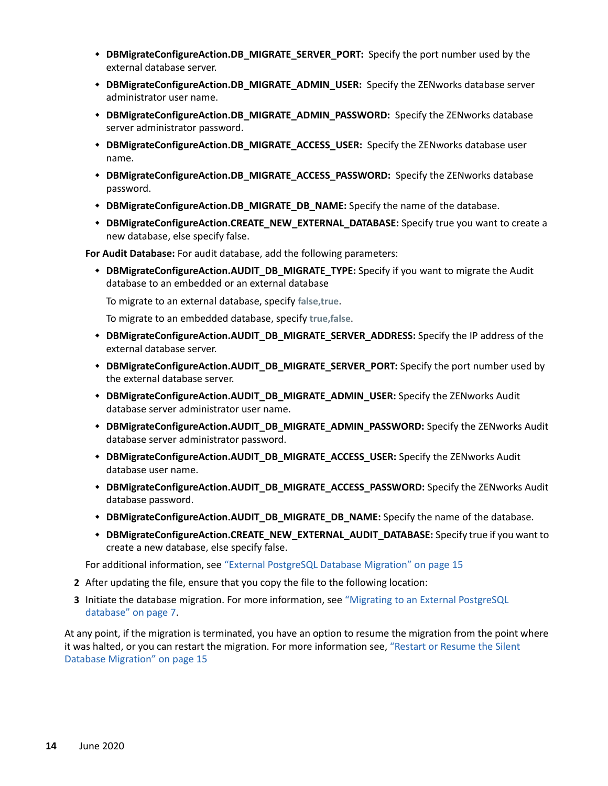- **DBMigrateConfigureAction.DB\_MIGRATE\_SERVER\_PORT:** Specify the port number used by the external database server.
- **DBMigrateConfigureAction.DB\_MIGRATE\_ADMIN\_USER:** Specify the ZENworks database server administrator user name.
- **DBMigrateConfigureAction.DB\_MIGRATE\_ADMIN\_PASSWORD:** Specify the ZENworks database server administrator password.
- **DBMigrateConfigureAction.DB\_MIGRATE\_ACCESS\_USER:** Specify the ZENworks database user name.
- **DBMigrateConfigureAction.DB\_MIGRATE\_ACCESS\_PASSWORD:** Specify the ZENworks database password.
- **DBMigrateConfigureAction.DB\_MIGRATE\_DB\_NAME:** Specify the name of the database.
- **DBMigrateConfigureAction.CREATE\_NEW\_EXTERNAL\_DATABASE:** Specify true you want to create a new database, else specify false.

**For Audit Database:** For audit database, add the following parameters:

 **DBMigrateConfigureAction.AUDIT\_DB\_MIGRATE\_TYPE:** Specify if you want to migrate the Audit database to an embedded or an external database

To migrate to an external database, specify **false,true**.

To migrate to an embedded database, specify **true,false**.

- **DBMigrateConfigureAction.AUDIT\_DB\_MIGRATE\_SERVER\_ADDRESS:** Specify the IP address of the external database server.
- **DBMigrateConfigureAction.AUDIT\_DB\_MIGRATE\_SERVER\_PORT:** Specify the port number used by the external database server.
- **DBMigrateConfigureAction.AUDIT\_DB\_MIGRATE\_ADMIN\_USER:** Specify the ZENworks Audit database server administrator user name.
- **DBMigrateConfigureAction.AUDIT\_DB\_MIGRATE\_ADMIN\_PASSWORD:** Specify the ZENworks Audit database server administrator password.
- **DBMigrateConfigureAction.AUDIT\_DB\_MIGRATE\_ACCESS\_USER:** Specify the ZENworks Audit database user name.
- **DBMigrateConfigureAction.AUDIT\_DB\_MIGRATE\_ACCESS\_PASSWORD:** Specify the ZENworks Audit database password.
- **DBMigrateConfigureAction.AUDIT\_DB\_MIGRATE\_DB\_NAME:** Specify the name of the database.
- **DBMigrateConfigureAction.CREATE\_NEW\_EXTERNAL\_AUDIT\_DATABASE:** Specify true if you want to create a new database, else specify false.

For additional information, see ["External PostgreSQL Database Migration" on page 15](#page-14-2)

- **2** After updating the file, ensure that you copy the file to the following location:
- **3** Initiate the database migration. For more information, see ["Migrating to an External PostgreSQL](#page-6-0)  [database" on page 7](#page-6-0).

At any point, if the migration is terminated, you have an option to resume the migration from the point where it was halted, or you can restart the migration. For more information see, ["Restart or Resume the Silent](#page-14-0)  [Database Migration" on page 15](#page-14-0)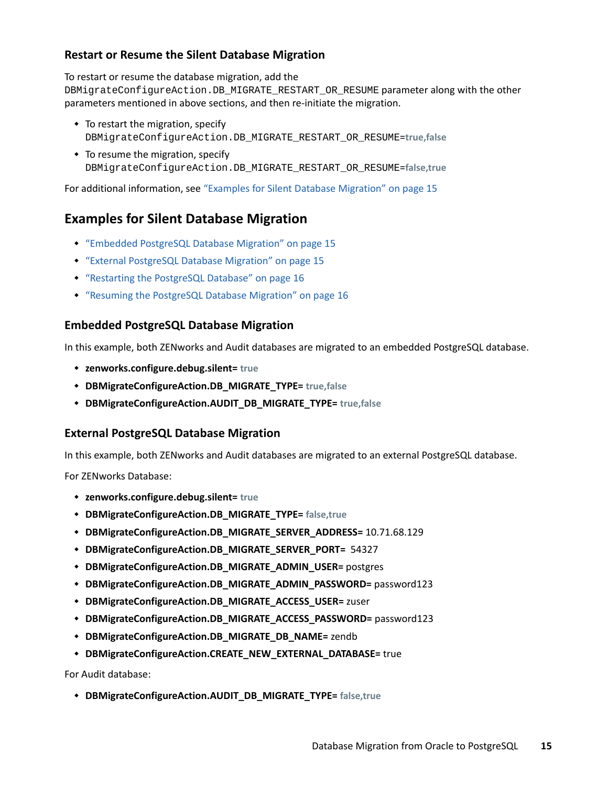### <span id="page-14-0"></span>**Restart or Resume the Silent Database Migration**

To restart or resume the database migration, add the

DBMigrateConfigureAction.DB\_MIGRATE\_RESTART\_OR\_RESUME parameter along with the other parameters mentioned in above sections, and then re-initiate the migration.

- To restart the migration, specify DBMigrateConfigureAction.DB\_MIGRATE\_RESTART\_OR\_RESUME=**true,false**
- To resume the migration, specify DBMigrateConfigureAction.DB\_MIGRATE\_RESTART\_OR\_RESUME=**false,true**

For additional information, see ["Examples for Silent Database Migration" on page 15](#page-14-3)

### <span id="page-14-3"></span>**Examples for Silent Database Migration**

- ["Embedded PostgreSQL Database Migration" on page 15](#page-14-1)
- ["External PostgreSQL Database Migration" on page 15](#page-14-2)
- ["Restarting the PostgreSQL Database" on page 16](#page-15-1)
- ["Resuming the PostgreSQL Database Migration" on page 16](#page-15-2)

### <span id="page-14-1"></span>**Embedded PostgreSQL Database Migration**

In this example, both ZENworks and Audit databases are migrated to an embedded PostgreSQL database.

- **zenworks.configure.debug.silent= true**
- **DBMigrateConfigureAction.DB\_MIGRATE\_TYPE= true,false**
- **DBMigrateConfigureAction.AUDIT\_DB\_MIGRATE\_TYPE= true,false**

### <span id="page-14-2"></span>**External PostgreSQL Database Migration**

In this example, both ZENworks and Audit databases are migrated to an external PostgreSQL database.

For ZENworks Database:

- **zenworks.configure.debug.silent= true**
- **DBMigrateConfigureAction.DB\_MIGRATE\_TYPE= false,true**
- **DBMigrateConfigureAction.DB\_MIGRATE\_SERVER\_ADDRESS=** 10.71.68.129
- **DBMigrateConfigureAction.DB\_MIGRATE\_SERVER\_PORT=** 54327
- **DBMigrateConfigureAction.DB\_MIGRATE\_ADMIN\_USER=** postgres
- **DBMigrateConfigureAction.DB\_MIGRATE\_ADMIN\_PASSWORD=** password123
- **DBMigrateConfigureAction.DB\_MIGRATE\_ACCESS\_USER=** zuser
- **DBMigrateConfigureAction.DB\_MIGRATE\_ACCESS\_PASSWORD=** password123
- **DBMigrateConfigureAction.DB\_MIGRATE\_DB\_NAME=** zendb
- **DBMigrateConfigureAction.CREATE\_NEW\_EXTERNAL\_DATABASE=** true

For Audit database:

**DBMigrateConfigureAction.AUDIT\_DB\_MIGRATE\_TYPE= false,true**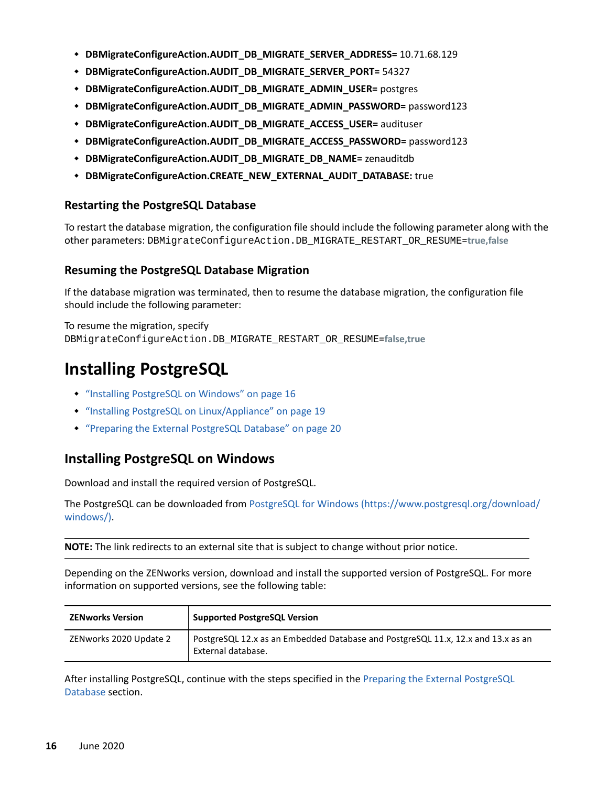- **DBMigrateConfigureAction.AUDIT\_DB\_MIGRATE\_SERVER\_ADDRESS=** 10.71.68.129
- **DBMigrateConfigureAction.AUDIT\_DB\_MIGRATE\_SERVER\_PORT=** 54327
- **DBMigrateConfigureAction.AUDIT\_DB\_MIGRATE\_ADMIN\_USER=** postgres
- **DBMigrateConfigureAction.AUDIT\_DB\_MIGRATE\_ADMIN\_PASSWORD=** password123
- **DBMigrateConfigureAction.AUDIT\_DB\_MIGRATE\_ACCESS\_USER=** audituser
- **DBMigrateConfigureAction.AUDIT\_DB\_MIGRATE\_ACCESS\_PASSWORD=** password123
- **DBMigrateConfigureAction.AUDIT\_DB\_MIGRATE\_DB\_NAME=** zenauditdb
- **DBMigrateConfigureAction.CREATE\_NEW\_EXTERNAL\_AUDIT\_DATABASE:** true

### <span id="page-15-1"></span>**Restarting the PostgreSQL Database**

To restart the database migration, the configuration file should include the following parameter along with the other parameters: DBMigrateConfigureAction.DB\_MIGRATE\_RESTART\_OR\_RESUME=**true,false**

### <span id="page-15-2"></span>**Resuming the PostgreSQL Database Migration**

If the database migration was terminated, then to resume the database migration, the configuration file should include the following parameter:

To resume the migration, specify DBMigrateConfigureAction.DB\_MIGRATE\_RESTART\_OR\_RESUME=**false,true**

# <span id="page-15-0"></span>**Installing PostgreSQL**

- ["Installing PostgreSQL on Windows" on page 16](#page-15-3)
- ["Installing PostgreSQL on Linux/Appliance" on page 19](#page-18-0)
- ["Preparing the External PostgreSQL Database" on page 20](#page-19-0)

### <span id="page-15-3"></span>**Installing PostgreSQL on Windows**

Download and install the required version of PostgreSQL.

The PostgreSQL can be downloaded from [PostgreSQL for Windows](https://www.postgresql.org/download/windows/) (https://www.postgresql.org/download/ windows/).

**NOTE:** The link redirects to an external site that is subject to change without prior notice.

Depending on the ZENworks version, download and install the supported version of PostgreSQL. For more information on supported versions, see the following table:

| <b>ZENworks Version</b> | <b>Supported PostgreSQL Version</b>                                                                    |
|-------------------------|--------------------------------------------------------------------------------------------------------|
| ZENworks 2020 Update 2  | PostgreSQL 12.x as an Embedded Database and PostgreSQL 11.x, 12.x and 13.x as an<br>External database. |

After installing PostgreSQL, continue with the steps specified in the [Preparing the External PostgreSQL](#page-7-0)  [Database](#page-7-0) section.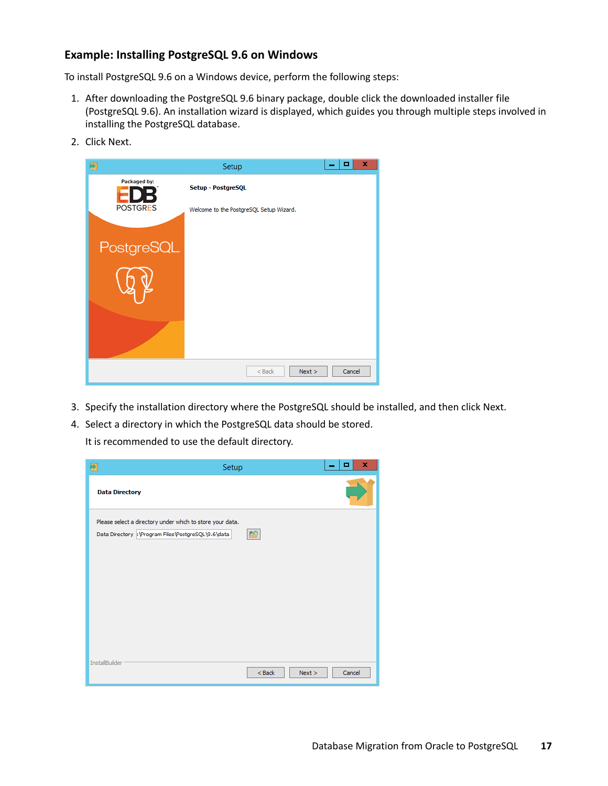### **Example: Installing PostgreSQL 9.6 on Windows**

To install PostgreSQL 9.6 on a Windows device, perform the following steps:

- 1. After downloading the PostgreSQL 9.6 binary package, double click the downloaded installer file (PostgreSQL 9.6). An installation wizard is displayed, which guides you through multiple steps involved in installing the PostgreSQL database.
- 2. Click Next.

| 劑                               | Setup                                                         | x<br>o<br>- |
|---------------------------------|---------------------------------------------------------------|-------------|
| Packaged by:<br><b>POSTGRES</b> | Setup - PostgreSQL<br>Welcome to the PostgreSQL Setup Wizard. |             |
| PostgreSQL                      |                                                               |             |
|                                 |                                                               |             |
|                                 |                                                               |             |
|                                 |                                                               |             |
|                                 | $<$ Back<br>Next >                                            | Cancel      |

- 3. Specify the installation directory where the PostgreSQL should be installed, and then click Next.
- 4. Select a directory in which the PostgreSQL data should be stored.

It is recommended to use the default directory.

| 剦                     | Setup                                                                                                            |                  | x<br>о |
|-----------------------|------------------------------------------------------------------------------------------------------------------|------------------|--------|
| <b>Data Directory</b> |                                                                                                                  |                  |        |
|                       | Please select a directory under which to store your data.<br>Data Directory : \Program Files\PostgreSQL\9.6\data | <b>RO</b>        |        |
| InstallBuilder        |                                                                                                                  | $Back$<br>Next > | Cancel |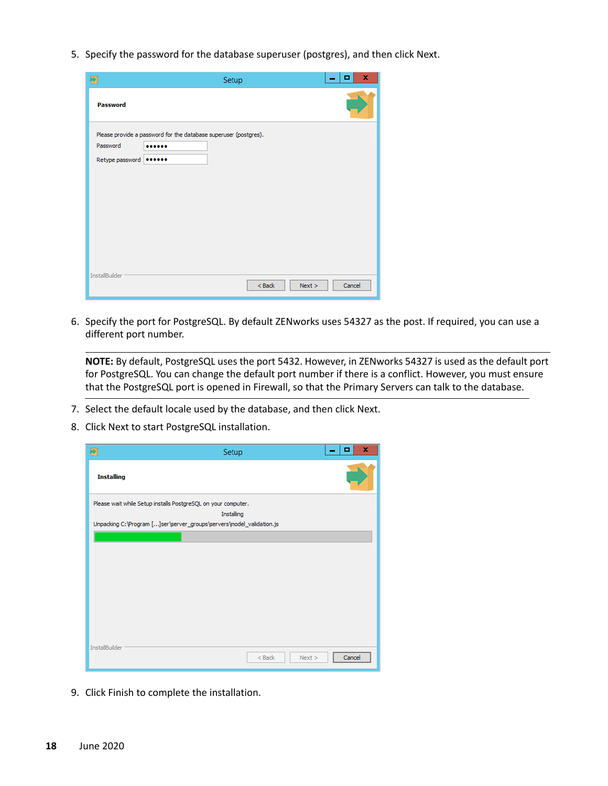5. Specify the password for the database superuser (postgres), and then click Next.

| 刪                           | Setup                                                                | x<br>о |
|-----------------------------|----------------------------------------------------------------------|--------|
| <b>Password</b>             |                                                                      |        |
| Password<br>Retype password | Please provide a password for the database superuser (postgres).<br> |        |
| InstallBuilder              | $<$ Back<br>Next >                                                   | Cancel |

6. Specify the port for PostgreSQL. By default ZENworks uses 54327 as the post. If required, you can use a different port number.

**NOTE:** By default, PostgreSQL uses the port 5432. However, in ZENworks 54327 is used as the default port for PostgreSQL. You can change the default port number if there is a conflict. However, you must ensure that the PostgreSQL port is opened in Firewall, so that the Primary Servers can talk to the database.

- 7. Select the default locale used by the database, and then click Next.
- 8. Click Next to start PostgreSQL installation.

| Ð                                                                    | Setup      |                    | о                                            | x |
|----------------------------------------------------------------------|------------|--------------------|----------------------------------------------|---|
| <b>Installing</b>                                                    |            |                    |                                              |   |
| Please wait while Setup installs PostgreSQL on your computer.        |            |                    |                                              |   |
|                                                                      | Installing |                    |                                              |   |
| Unpacking C:\Program []ser\server_groups\servers\model_validation.js |            |                    |                                              |   |
|                                                                      |            |                    |                                              |   |
|                                                                      |            |                    |                                              |   |
|                                                                      |            |                    |                                              |   |
|                                                                      |            |                    |                                              |   |
|                                                                      |            |                    |                                              |   |
|                                                                      |            |                    |                                              |   |
|                                                                      |            |                    |                                              |   |
|                                                                      |            |                    |                                              |   |
|                                                                      |            |                    |                                              |   |
|                                                                      |            |                    |                                              |   |
| InstallBuilder                                                       |            |                    |                                              |   |
|                                                                      |            | $<$ Back<br>Next > | ,,,,,,,,,,,,,,,,,,,,,,,,,,,,,,,,,,<br>Cancel |   |

9. Click Finish to complete the installation.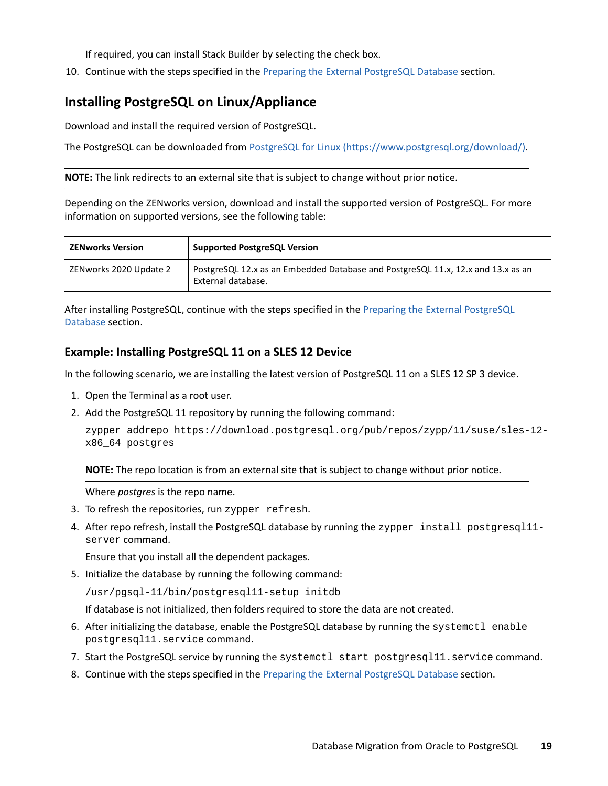If required, you can install Stack Builder by selecting the check box.

10. Continue with the steps specified in the [Preparing the External PostgreSQL Database](#page-7-0) section.

### <span id="page-18-0"></span>**Installing PostgreSQL on Linux/Appliance**

Download and install the required version of PostgreSQL.

The PostgreSQL can be downloaded from [PostgreSQL for Linux](https://www.postgresql.org/download/) (https://www.postgresql.org/download/).

**NOTE:** The link redirects to an external site that is subject to change without prior notice.

Depending on the ZENworks version, download and install the supported version of PostgreSQL. For more information on supported versions, see the following table:

| <b>ZENworks Version</b> | <b>Supported PostgreSQL Version</b>                                                                    |
|-------------------------|--------------------------------------------------------------------------------------------------------|
| ZENworks 2020 Update 2  | PostgreSQL 12.x as an Embedded Database and PostgreSQL 11.x, 12.x and 13.x as an<br>External database. |

After installing PostgreSQL, continue with the steps specified in the [Preparing the External PostgreSQL](#page-19-0)  [Database](#page-19-0) section.

### **Example: Installing PostgreSQL 11 on a SLES 12 Device**

In the following scenario, we are installing the latest version of PostgreSQL 11 on a SLES 12 SP 3 device.

- 1. Open the Terminal as a root user.
- 2. Add the PostgreSQL 11 repository by running the following command:

zypper addrepo https://download.postgresql.org/pub/repos/zypp/11/suse/sles-12 x86\_64 postgres

**NOTE:** The repo location is from an external site that is subject to change without prior notice.

Where *postgres* is the repo name.

- 3. To refresh the repositories, run zypper refresh.
- 4. After repo refresh, install the PostgreSQL database by running the zypper install postgresgl11server command.

Ensure that you install all the dependent packages.

5. Initialize the database by running the following command:

/usr/pgsql-11/bin/postgresql11-setup initdb

If database is not initialized, then folders required to store the data are not created.

- 6. After initializing the database, enable the PostgreSQL database by running the systemctl enable postgresql11.service command.
- 7. Start the PostgreSQL service by running the systemctl start postgresql11.service command.
- 8. Continue with the steps specified in the [Preparing the External PostgreSQL Database](#page-19-0) section.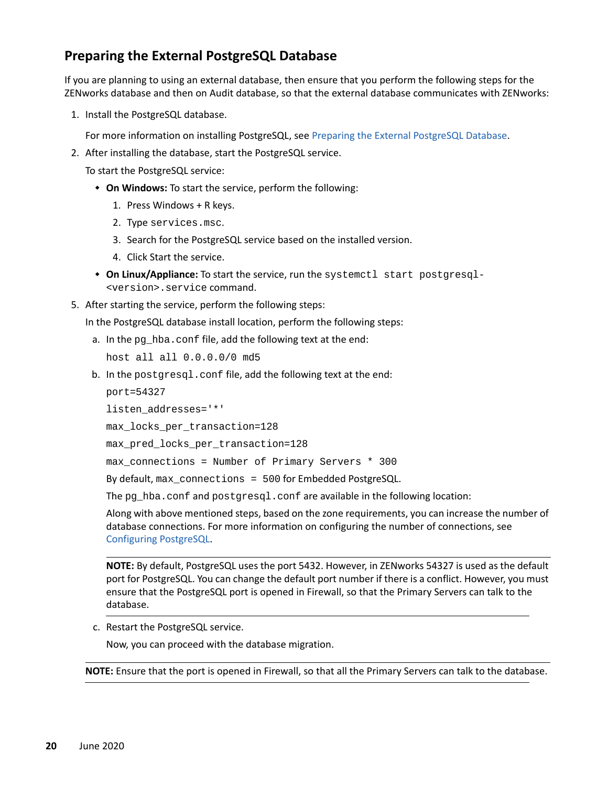### <span id="page-19-0"></span>**Preparing the External PostgreSQL Database**

If you are planning to using an external database, then ensure that you perform the following steps for the ZENworks database and then on Audit database, so that the external database communicates with ZENworks:

1. Install the PostgreSQL database.

For more information on installing PostgreSQL, see [Preparing the External PostgreSQL Database.](#page-19-0)

2. After installing the database, start the PostgreSQL service.

To start the PostgreSQL service:

- **On Windows:** To start the service, perform the following:
	- 1. Press Windows + R keys.
	- 2. Type services.msc.
	- 3. Search for the PostgreSQL service based on the installed version.
	- 4. Click Start the service.
- **On Linux/Appliance:** To start the service, run the systemctl start postgresql- <version>.service command.
- 5. After starting the service, perform the following steps:

In the PostgreSQL database install location, perform the following steps:

a. In the pg\_hba.conf file, add the following text at the end:

host all all 0.0.0.0/0 md5

b. In the postgresql.conf file, add the following text at the end:

port=54327

listen\_addresses='\*'

max\_locks\_per\_transaction=128

max\_pred\_locks\_per\_transaction=128

max\_connections = Number of Primary Servers \* 300

By default, max connections = 500 for Embedded PostgreSQL.

The pg\_hba.conf and postgresql.conf are available in the following location:

Along with above mentioned steps, based on the zone requirements, you can increase the number of database connections. For more information on configuring the number of connections, see [Configuring PostgreSQL](https://www.novell.com/documentation/zenworks-2020-update-2/pdfdoc/zen_sys_db_mgmt/zen_sys_db_mgmt.pdf#t41rl5gf8qdv1).

**NOTE:** By default, PostgreSQL uses the port 5432. However, in ZENworks 54327 is used as the default port for PostgreSQL. You can change the default port number if there is a conflict. However, you must ensure that the PostgreSQL port is opened in Firewall, so that the Primary Servers can talk to the database.

c. Restart the PostgreSQL service.

Now, you can proceed with the database migration.

**NOTE:** Ensure that the port is opened in Firewall, so that all the Primary Servers can talk to the database.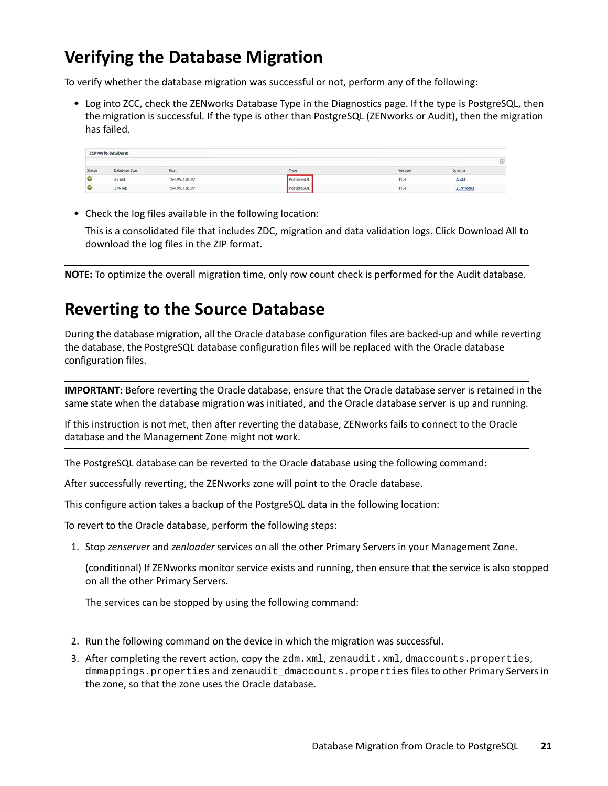# <span id="page-20-0"></span>**Verifying the Database Migration**

To verify whether the database migration was successful or not, perform any of the following:

 Log into ZCC, check the ZENworks Database Type in the Diagnostics page. If the type is PostgreSQL, then the migration is successful. If the type is other than PostgreSQL (ZENworks or Audit), then the migration has failed.

|        | <b>ZENworks Databases</b> |                  |            |         |           |  |
|--------|---------------------------|------------------|------------|---------|-----------|--|
|        |                           |                  |            |         |           |  |
| Status | Database Size             | Host             | Type       | Version | Schema    |  |
|        | 26 MB                     | 164.99.138.97    | PostgreSQI | 11.4    | Audit     |  |
|        | 376 MB                    | 164, 99, 138, 97 | PostgreSQL | 11.4    | ZENvrorle |  |

Check the log files available in the following location:

This is a consolidated file that includes ZDC, migration and data validation logs. Click Download All to download the log files in the ZIP format.

**NOTE:** To optimize the overall migration time, only row count check is performed for the Audit database.

# <span id="page-20-1"></span>**Reverting to the Source Database**

During the database migration, all the Oracle database configuration files are backed-up and while reverting the database, the PostgreSQL database configuration files will be replaced with the Oracle database configuration files.

**IMPORTANT:** Before reverting the Oracle database, ensure that the Oracle database server is retained in the same state when the database migration was initiated, and the Oracle database server is up and running.

If this instruction is not met, then after reverting the database, ZENworks fails to connect to the Oracle database and the Management Zone might not work.

The PostgreSQL database can be reverted to the Oracle database using the following command:

After successfully reverting, the ZENworks zone will point to the Oracle database.

This configure action takes a backup of the PostgreSQL data in the following location:

To revert to the Oracle database, perform the following steps:

1. Stop *zenserver* and *zenloader* services on all the other Primary Servers in your Management Zone.

(conditional) If ZENworks monitor service exists and running, then ensure that the service is also stopped on all the other Primary Servers.

The services can be stopped by using the following command:

- 2. Run the following command on the device in which the migration was successful.
- 3. After completing the revert action, copy the zdm.xml, zenaudit.xml, dmaccounts.properties, dmmappings.properties and zenaudit\_dmaccounts.properties files to other Primary Servers in the zone, so that the zone uses the Oracle database.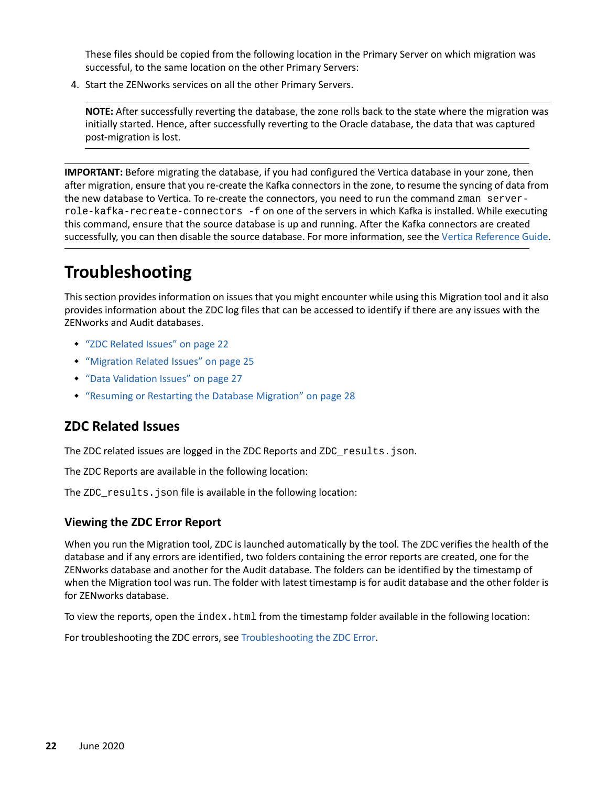These files should be copied from the following location in the Primary Server on which migration was successful, to the same location on the other Primary Servers:

4. Start the ZENworks services on all the other Primary Servers.

**NOTE:** After successfully reverting the database, the zone rolls back to the state where the migration was initially started. Hence, after successfully reverting to the Oracle database, the data that was captured post-migration is lost.

**IMPORTANT:** Before migrating the database, if you had configured the Vertica database in your zone, then after migration, ensure that you re-create the Kafka connectors in the zone, to resume the syncing of data from the new database to Vertica. To re-create the connectors, you need to run the command zman serverrole-kafka-recreate-connectors -f on one of the servers in which Kafka is installed. While executing this command, ensure that the source database is up and running. After the Kafka connectors are created successfully, you can then disable the source database. For more information, see the [Vertica Reference Guide](https://www.novell.com/documentation/zenworks-2020-update-2/pdfdoc/zen_vertica/zen_vertica.pdf#readme).

# <span id="page-21-0"></span>**Troubleshooting**

This section provides information on issues that you might encounter while using this Migration tool and it also provides information about the ZDC log files that can be accessed to identify if there are any issues with the ZENworks and Audit databases.

- ["ZDC Related Issues" on page 22](#page-21-2)
- ["Migration Related Issues" on page 25](#page-24-0)
- ["Data Validation Issues" on page 27](#page-26-0)
- ["Resuming or Restarting the Database Migration" on page 28](#page-27-0)

### <span id="page-21-2"></span>**ZDC Related Issues**

The ZDC related issues are logged in the ZDC Reports and ZDC\_results.json.

The ZDC Reports are available in the following location:

The ZDC results. json file is available in the following location:

### <span id="page-21-1"></span>**Viewing the ZDC Error Report**

When you run the Migration tool, ZDC is launched automatically by the tool. The ZDC verifies the health of the database and if any errors are identified, two folders containing the error reports are created, one for the ZENworks database and another for the Audit database. The folders can be identified by the timestamp of when the Migration tool was run. The folder with latest timestamp is for audit database and the other folder is for ZENworks database.

To view the reports, open the index.html from the timestamp folder available in the following location:

For troubleshooting the ZDC errors, see [Troubleshooting the ZDC Error](#page-22-0).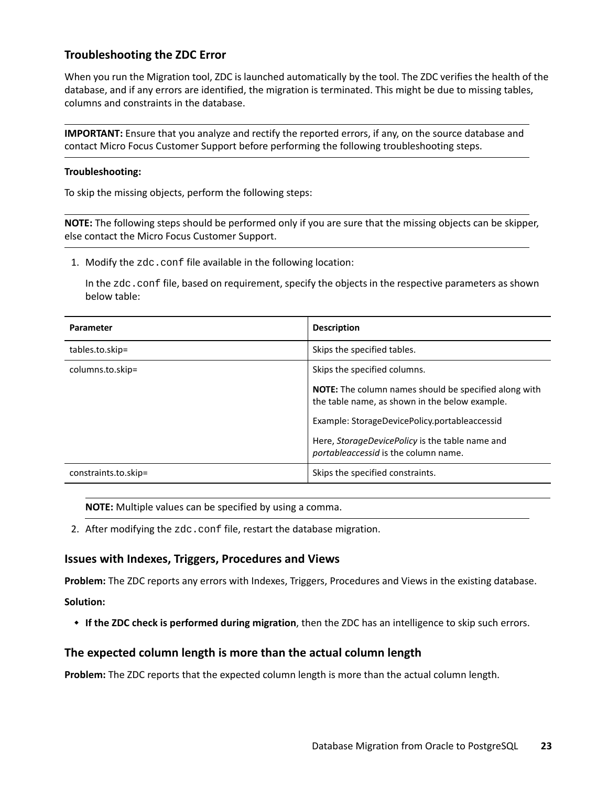### <span id="page-22-0"></span>**Troubleshooting the ZDC Error**

When you run the Migration tool, ZDC is launched automatically by the tool. The ZDC verifies the health of the database, and if any errors are identified, the migration is terminated. This might be due to missing tables, columns and constraints in the database.

**IMPORTANT:** Ensure that you analyze and rectify the reported errors, if any, on the source database and contact Micro Focus Customer Support before performing the following troubleshooting steps.

#### **Troubleshooting:**

To skip the missing objects, perform the following steps:

**NOTE:** The following steps should be performed only if you are sure that the missing objects can be skipper, else contact the Micro Focus Customer Support.

1. Modify the zdc.conf file available in the following location:

In the zdc.conf file, based on requirement, specify the objects in the respective parameters as shown below table:

| Parameter            | <b>Description</b>                                                                                             |
|----------------------|----------------------------------------------------------------------------------------------------------------|
| tables.to.skip=      | Skips the specified tables.                                                                                    |
| columns.to.skip=     | Skips the specified columns.                                                                                   |
|                      | <b>NOTE:</b> The column names should be specified along with<br>the table name, as shown in the below example. |
|                      | Example: StorageDevicePolicy.portableaccessid                                                                  |
|                      | Here, StorageDevicePolicy is the table name and<br>portableaccessid is the column name.                        |
| constraints.to.skip= | Skips the specified constraints.                                                                               |

**NOTE:** Multiple values can be specified by using a comma.

2. After modifying the zdc.conf file, restart the database migration.

### **Issues with Indexes, Triggers, Procedures and Views**

**Problem:** The ZDC reports any errors with Indexes, Triggers, Procedures and Views in the existing database. **Solution:** 

**If the ZDC check is performed during migration**, then the ZDC has an intelligence to skip such errors.

### **The expected column length is more than the actual column length**

**Problem:** The ZDC reports that the expected column length is more than the actual column length.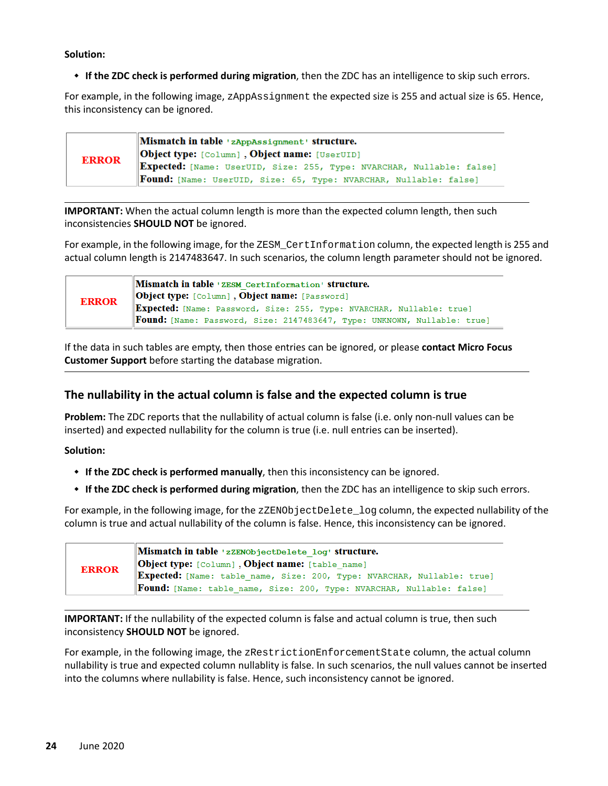#### **Solution:**

**If the ZDC check is performed during migration**, then the ZDC has an intelligence to skip such errors.

For example, in the following image, zAppAssignment the expected size is 255 and actual size is 65. Hence, this inconsistency can be ignored.

|              | Mismatch in table 'zAppAssignment' structure.<br><b>Object type:</b> [Column], Object name: [UserUID]                                             |
|--------------|---------------------------------------------------------------------------------------------------------------------------------------------------|
| <b>ERROR</b> | Expected: [Name: UserUID, Size: 255, Type: NVARCHAR, Nullable: false]<br><b>Found:</b> [Name: UserUID, Size: 65, Type: NVARCHAR, Nullable: false] |

**IMPORTANT:** When the actual column length is more than the expected column length, then such inconsistencies **SHOULD NOT** be ignored.

For example, in the following image, for the ZESM\_CertInformation column, the expected length is 255 and actual column length is 2147483647. In such scenarios, the column length parameter should not be ignored.

|              | Mismatch in table 'ZESM CertInformation' structure.                             |
|--------------|---------------------------------------------------------------------------------|
| <b>ERROR</b> | <b>Object type:</b> [Column], Object name: [Password]                           |
|              | Expected: [Name: Password, Size: 255, Type: NVARCHAR, Nullable: true]           |
|              | <b>Found:</b> [Name: Password, Size: 2147483647, Type: UNKNOWN, Nullable: true] |

If the data in such tables are empty, then those entries can be ignored, or please **contact Micro Focus Customer Support** before starting the database migration.

### **The nullability in the actual column is false and the expected column is true**

**Problem:** The ZDC reports that the nullability of actual column is false (i.e. only non-null values can be inserted) and expected nullability for the column is true (i.e. null entries can be inserted).

**Solution:** 

- **If the ZDC check is performed manually**, then this inconsistency can be ignored.
- **If the ZDC check is performed during migration**, then the ZDC has an intelligence to skip such errors.

For example, in the following image, for the zZENObjectDelete  $\log$  column, the expected nullability of the column is true and actual nullability of the column is false. Hence, this inconsistency can be ignored.

|              | Mismatch in table 'zZENObjectDelete log' structure.                          |
|--------------|------------------------------------------------------------------------------|
| <b>ERROR</b> | <b>Object type:</b> [Column], Object name: [table_name]                      |
|              | Expected: [Name: table name, Size: 200, Type: NVARCHAR, Nullable: true]      |
|              | <b>Found:</b> [Name: table name, Size: 200, Type: NVARCHAR, Nullable: false] |

**IMPORTANT:** If the nullability of the expected column is false and actual column is true, then such inconsistency **SHOULD NOT** be ignored.

For example, in the following image, the zRestrictionEnforcementState column, the actual column nullability is true and expected column nullablity is false. In such scenarios, the null values cannot be inserted into the columns where nullability is false. Hence, such inconsistency cannot be ignored.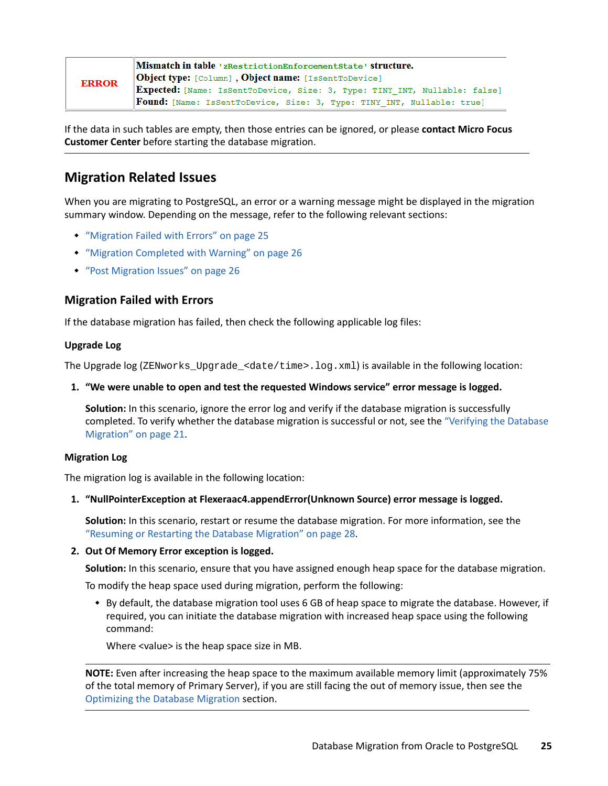| <b>ERROR</b> | Mismatch in table 'zRestrictionEnforcementState' structure.<br><b>Object type:</b> [Column], Object name: [IsSentToDevice] |
|--------------|----------------------------------------------------------------------------------------------------------------------------|
|              | Expected: [Name: IsSentToDevice, Size: 3, Type: TINY_INT, Nullable: false]                                                 |
|              | Found: [Name: IsSentToDevice, Size: 3, Type: TINY_INT, Nullable: true]                                                     |

If the data in such tables are empty, then those entries can be ignored, or please **contact Micro Focus Customer Center** before starting the database migration.

### <span id="page-24-0"></span>**Migration Related Issues**

When you are migrating to PostgreSQL, an error or a warning message might be displayed in the migration summary window. Depending on the message, refer to the following relevant sections:

- ["Migration Failed with Errors" on page 25](#page-24-1)
- ["Migration Completed with Warning" on page 26](#page-25-0)
- ["Post Migration Issues" on page 26](#page-25-1)

### <span id="page-24-1"></span>**Migration Failed with Errors**

If the database migration has failed, then check the following applicable log files:

#### **Upgrade Log**

The Upgrade log (ZENworks\_Upgrade\_<date/time>.log.xml) is available in the following location:

#### **1. "We were unable to open and test the requested Windows service" error message is logged.**

**Solution:** In this scenario, ignore the error log and verify if the database migration is successfully completed. To verify whether the database migration is successful or not, see the ["Verifying the Database](#page-20-0)  [Migration" on page 21.](#page-20-0)

#### **Migration Log**

The migration log is available in the following location:

#### **1. "NullPointerException at Flexeraac4.appendError(Unknown Source) error message is logged.**

**Solution:** In this scenario, restart or resume the database migration. For more information, see the ["Resuming or Restarting the Database Migration" on page 28.](#page-27-0)

#### **2. Out Of Memory Error exception is logged.**

**Solution:** In this scenario, ensure that you have assigned enough heap space for the database migration.

To modify the heap space used during migration, perform the following:

 By default, the database migration tool uses 6 GB of heap space to migrate the database. However, if required, you can initiate the database migration with increased heap space using the following command:

Where <value> is the heap space size in MB.

**NOTE:** Even after increasing the heap space to the maximum available memory limit (approximately 75% of the total memory of Primary Server), if you are still facing the out of memory issue, then see the [Optimizing the Database Migration](#page-1-0) section.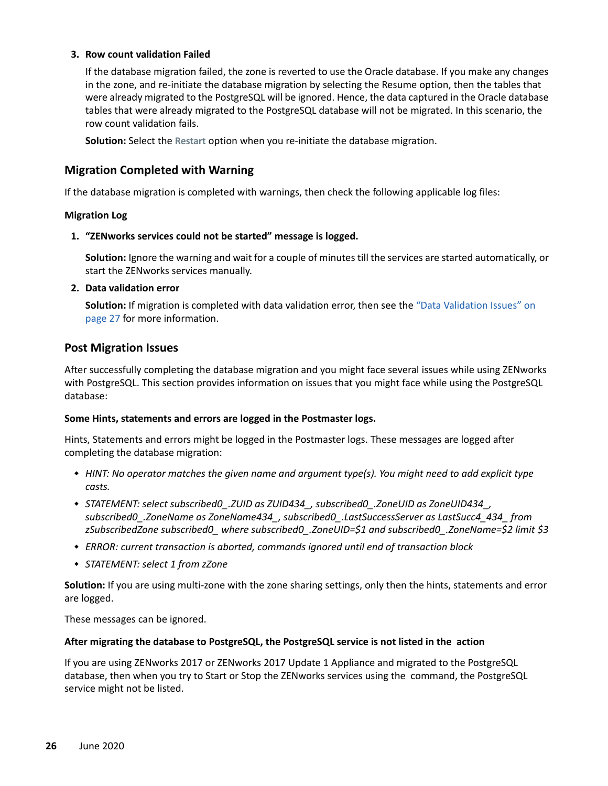#### **3. Row count validation Failed**

If the database migration failed, the zone is reverted to use the Oracle database. If you make any changes in the zone, and re-initiate the database migration by selecting the Resume option, then the tables that were already migrated to the PostgreSQL will be ignored. Hence, the data captured in the Oracle database tables that were already migrated to the PostgreSQL database will not be migrated. In this scenario, the row count validation fails.

**Solution:** Select the **Restart** option when you re-initiate the database migration.

### <span id="page-25-0"></span>**Migration Completed with Warning**

If the database migration is completed with warnings, then check the following applicable log files:

#### **Migration Log**

#### **1. "ZENworks services could not be started" message is logged.**

**Solution:** Ignore the warning and wait for a couple of minutes till the services are started automatically, or start the ZENworks services manually.

#### **2. Data validation error**

**Solution:** If migration is completed with data validation error, then see the ["Data Validation Issues" on](#page-26-0)  [page 27](#page-26-0) for more information.

### <span id="page-25-1"></span>**Post Migration Issues**

After successfully completing the database migration and you might face several issues while using ZENworks with PostgreSQL. This section provides information on issues that you might face while using the PostgreSQL database:

#### **Some Hints, statements and errors are logged in the Postmaster logs.**

Hints, Statements and errors might be logged in the Postmaster logs. These messages are logged after completing the database migration:

- *HINT: No operator matches the given name and argument type(s). You might need to add explicit type casts.*
- *STATEMENT: select subscribed0\_.ZUID as ZUID434\_, subscribed0\_.ZoneUID as ZoneUID434\_, subscribed0\_.ZoneName as ZoneName434\_, subscribed0\_.LastSuccessServer as LastSucc4\_434\_ from zSubscribedZone subscribed0\_ where subscribed0\_.ZoneUID=\$1 and subscribed0\_.ZoneName=\$2 limit \$3*
- *ERROR: current transaction is aborted, commands ignored until end of transaction block*
- *STATEMENT: select 1 from zZone*

**Solution:** If you are using multi-zone with the zone sharing settings, only then the hints, statements and error are logged.

These messages can be ignored.

### **After migrating the database to PostgreSQL, the PostgreSQL service is not listed in the action**

If you are using ZENworks 2017 or ZENworks 2017 Update 1 Appliance and migrated to the PostgreSQL database, then when you try to Start or Stop the ZENworks services using the command, the PostgreSQL service might not be listed.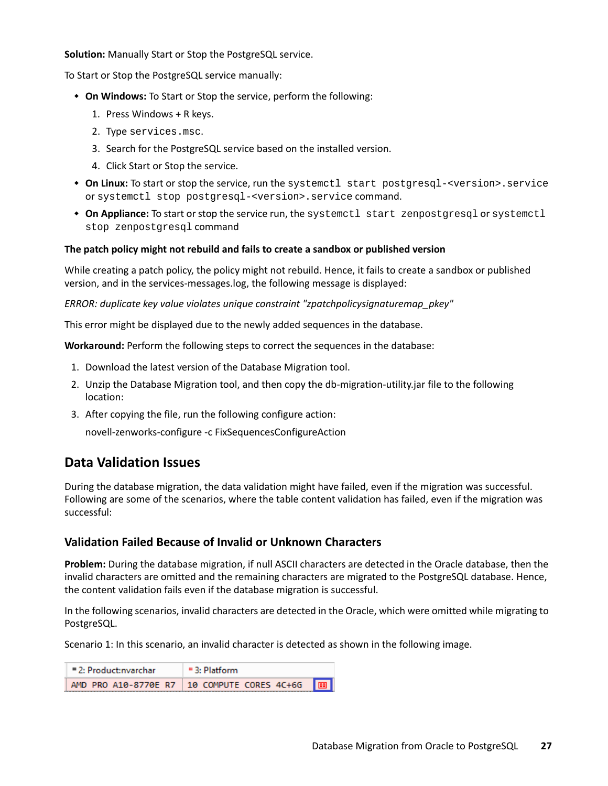**Solution:** Manually Start or Stop the PostgreSQL service.

To Start or Stop the PostgreSQL service manually:

- **On Windows:** To Start or Stop the service, perform the following:
	- 1. Press Windows + R keys.
	- 2. Type services.msc.
	- 3. Search for the PostgreSQL service based on the installed version.
	- 4. Click Start or Stop the service.
- **On Linux:** To start or stop the service, run the systemctl start postgresql-<version>.service or systemctl stop postgresql-<version>.service command.
- **On Appliance:** To start or stop the service run, the systemctl start zenpostgresql or systemctl stop zenpostgresql command

#### **The patch policy might not rebuild and fails to create a sandbox or published version**

While creating a patch policy, the policy might not rebuild. Hence, it fails to create a sandbox or published version, and in the services-messages.log, the following message is displayed:

*ERROR: duplicate key value violates unique constraint "zpatchpolicysignaturemap\_pkey"*

This error might be displayed due to the newly added sequences in the database.

**Workaround:** Perform the following steps to correct the sequences in the database:

- 1. Download the latest version of the Database Migration tool.
- 2. Unzip the Database Migration tool, and then copy the db-migration-utility.jar file to the following location:
- 3. After copying the file, run the following configure action:

novell-zenworks-configure -c FixSequencesConfigureAction

### <span id="page-26-0"></span>**Data Validation Issues**

During the database migration, the data validation might have failed, even if the migration was successful. Following are some of the scenarios, where the table content validation has failed, even if the migration was successful:

### **Validation Failed Because of Invalid or Unknown Characters**

**Problem:** During the database migration, if null ASCII characters are detected in the Oracle database, then the invalid characters are omitted and the remaining characters are migrated to the PostgreSQL database. Hence, the content validation fails even if the database migration is successful.

In the following scenarios, invalid characters are detected in the Oracle, which were omitted while migrating to PostgreSQL.

Scenario 1: In this scenario, an invalid character is detected as shown in the following image.

| $= 2: Product: nvarchar$ | $=$ 3: Platform                               |
|--------------------------|-----------------------------------------------|
|                          | AMD PRO A10-8770E R7 10 COMPUTE CORES 4C+6G 0 |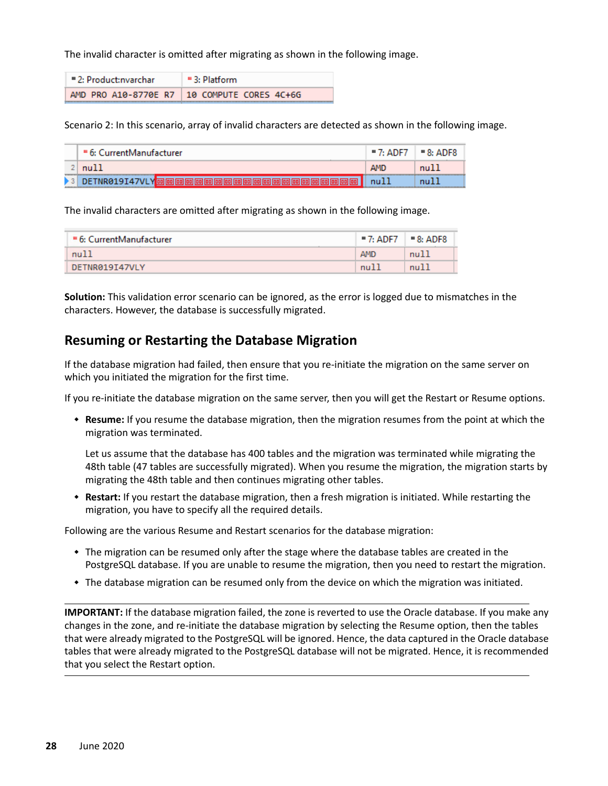The invalid character is omitted after migrating as shown in the following image.

| = 2: Product: nvarchar | $=$ 3: Platform                               |
|------------------------|-----------------------------------------------|
|                        | AMD PRO A10-8770E R7   10 COMPUTE CORES 4C+6G |

Scenario 2: In this scenario, array of invalid characters are detected as shown in the following image.

|                          | ■ 6: CurrentManufacturer            | $= 7:$ ADF7 | $-8.$ ADF8 |
|--------------------------|-------------------------------------|-------------|------------|
|                          | null                                | <b>AMD</b>  | nu11       |
| <b>*****************</b> | $\blacktriangleright$ 3 DETNR019I47 |             |            |

The invalid characters are omitted after migrating as shown in the following image.

| ■ 6: CurrentManufacturer | $-7:$ ADF7 $-8:$ ADF8 |      |
|--------------------------|-----------------------|------|
| null                     | <b>AMD</b>            | nu11 |
| DETNR019T47VLY           | nu11                  | null |

**Solution:** This validation error scenario can be ignored, as the error is logged due to mismatches in the characters. However, the database is successfully migrated.

### <span id="page-27-0"></span>**Resuming or Restarting the Database Migration**

If the database migration had failed, then ensure that you re-initiate the migration on the same server on which you initiated the migration for the first time.

If you re-initiate the database migration on the same server, then you will get the Restart or Resume options.

 **Resume:** If you resume the database migration, then the migration resumes from the point at which the migration was terminated.

Let us assume that the database has 400 tables and the migration was terminated while migrating the 48th table (47 tables are successfully migrated). When you resume the migration, the migration starts by migrating the 48th table and then continues migrating other tables.

 **Restart:** If you restart the database migration, then a fresh migration is initiated. While restarting the migration, you have to specify all the required details.

Following are the various Resume and Restart scenarios for the database migration:

- The migration can be resumed only after the stage where the database tables are created in the PostgreSQL database. If you are unable to resume the migration, then you need to restart the migration.
- The database migration can be resumed only from the device on which the migration was initiated.

**IMPORTANT:** If the database migration failed, the zone is reverted to use the Oracle database. If you make any changes in the zone, and re-initiate the database migration by selecting the Resume option, then the tables that were already migrated to the PostgreSQL will be ignored. Hence, the data captured in the Oracle database tables that were already migrated to the PostgreSQL database will not be migrated. Hence, it is recommended that you select the Restart option.